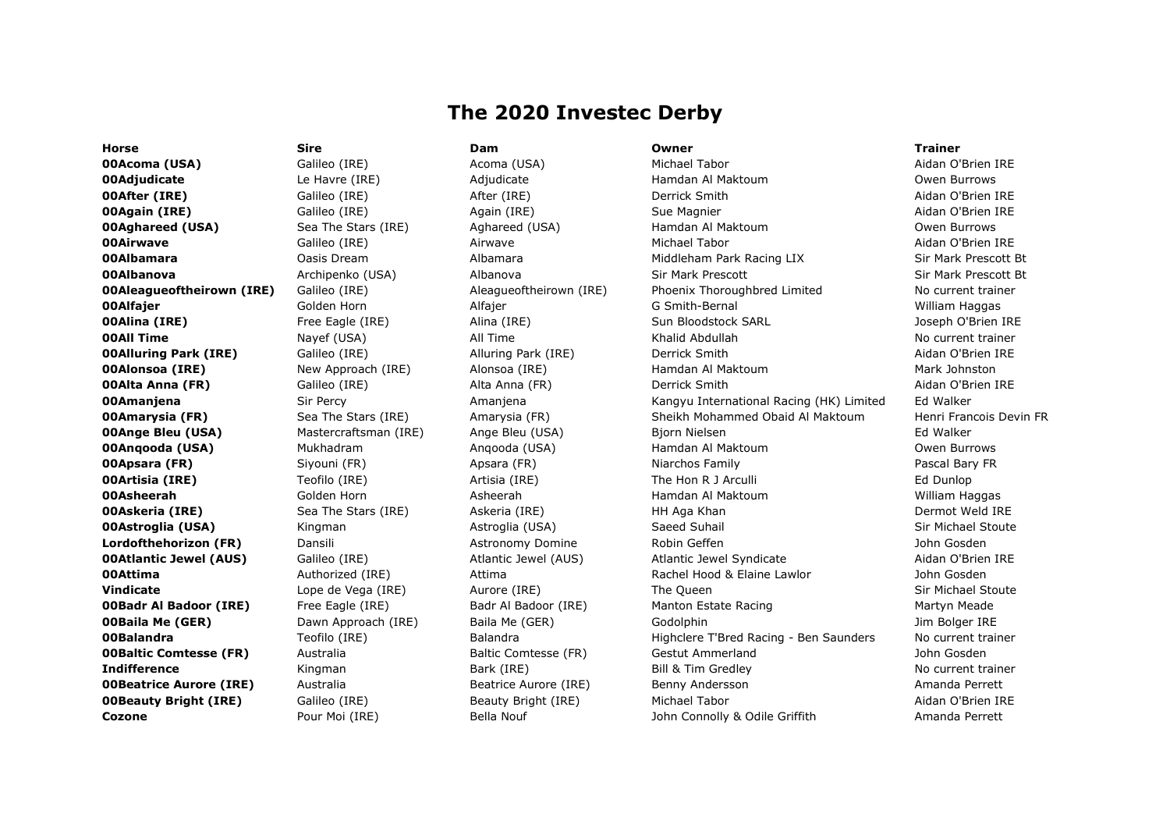# The 2020 Investec Derby

00Acoma (USA) Galileo (IRE) Acoma (USA) Michael Tabor Aidan O'Brien IRE

Horse Sire Dam Owner Trainer

**00Adjudicate** Le Havre (IRE) Adjudicate Hamdan Al Maktoum Owen Burrows **00After (IRE)** Galileo (IRE) After (IRE) Derrick Smith Aidan O'Brien IRE **00Again (IRE)** Galileo (IRE) Again (IRE) Sue Magnier Aidan O'Brien IRE **00Aghareed (USA)** Sea The Stars (IRE) Aghareed (USA) Hamdan Al Maktoum National Aghareed (USA) Sea The Stars (IRE) **00Airwave** Galileo (IRE) Airwave Michael Tabor Aidan O'Brien IRE 00Albamara Oasis Dream Albamara Middleham Park Racing LIX Sir Mark Prescott Bt 00Albanova Archipenko (USA) Albanova Sir Mark Prescott Sir Mark Prescott Bt **00Aleagueoftheirown (IRE)** Galileo (IRE) Aleagueoftheirown (IRE) Phoenix Thoroughbred Limited No current trainer 00Alfajer Golden Horn Alfajer G Smith-Bernal William Haggas **00Alina (IRE)** Free Eagle (IRE) Alina (IRE) Sun Bloodstock SARL Joseph O'Brien IRE **00All Time** Nayef (USA) All Time Khalid Abdullah No current trainer No current trainer **00Alluring Park (IRE)** Galileo (IRE) Alluring Park (IRE) Derrick Smith Aidan O'Brien IRE **00Alonsoa (IRE)** New Approach (IRE) Alonsoa (IRE) Hamdan Al Maktoum Mark Johnston **00Alta Anna (FR)** Galileo (IRE) Alta Anna (FR) Derrick Smith Anna Computer Aidan O'Brien IRE **00Amanjena** Sir Percy **Network Amanjena** Kangyu International Racing (HK) Limited Ed Walker **00Amarysia (FR)** Sea The Stars (IRE) Amarysia (FR) Sheikh Mohammed Obaid Al Maktoum Henri Francois Devin FR **00Ange Bleu (USA)** Mastercraftsman (IRE) Ange Bleu (USA) Bjorn Nielsen Master Bang Bang Bang Bang Bang Bang Bang **00Angooda (USA)** Mukhadram Anqooda (USA) Hamdan Al Maktoum Mukhadram Owen Burrows **00Apsara (FR)** Siyouni (FR) Apsara (FR) Niarchos Family Pascal Bary FR (PR) Rescal Bary FR **00Artisia (IRE)** Teofilo (IRE) Artisia (IRE) The Hon R J Arculli Formula and Artisia (IRE) The Hon R J Arculli 00Asheerah Golden Horn Asheerah Hamdan Al Maktoum William Haggas **00Askeria (IRE)** Sea The Stars (IRE) Askeria (IRE) HH Aga Khan Dermot Weld IRE **00Astroglia (USA)** Kingman Mastroglia (USA) Saeed Suhail Sir Michael Stoute **Lordofthehorizon (FR)** Dansili **Dansili Astronomy Domine** Robin Geffen John Gosden Astronomy Domine Robin Geffen **00Atlantic Jewel (AUS)** Galileo (IRE) Atlantic Jewel (AUS) Atlantic Jewel Syndicate Aidan O'Brien IRE **00Attima** and Authorized (IRE) Authorized (IRE) Attima Rachel Hood & Elaine Lawlor and John Gosden **Vindicate** a Lope de Vega (IRE) Aurore (IRE) The Queen Sir Michael Stoute Sir Michael Stoute **00Badr Al Badoor (IRE)** Free Eagle (IRE) Badr Al Badoor (IRE) Manton Estate Racing Manton Martyn Meade **OOBaila Me (GER)** Dawn Approach (IRE) Baila Me (GER) Godolphin Godolphin Jim Bolger IRE **00Balandra** Teofilo (IRE) Balandra Highclere T'Bred Racing - Ben Saunders No current trainer **OOBaltic Comtesse (FR)** Australia and Baltic Comtesse (FR) Gestut Ammerland and John Gosden **Indifference** Mingman Bark (IRE) Bill & Tim Gredley No current trainer **OOBeatrice Aurore (IRE)** Australia and Beatrice Aurore (IRE) Benny Andersson and Amanda Perrett **00Beauty Bright (IRE)** Galileo (IRE) Beauty Bright (IRE) Michael Tabor Aidan O'Brien IRE **Cozone** 2008 Pour Moi (IRE) Bella Nouf 30 John Connolly & Odile Griffith Amanda Perrett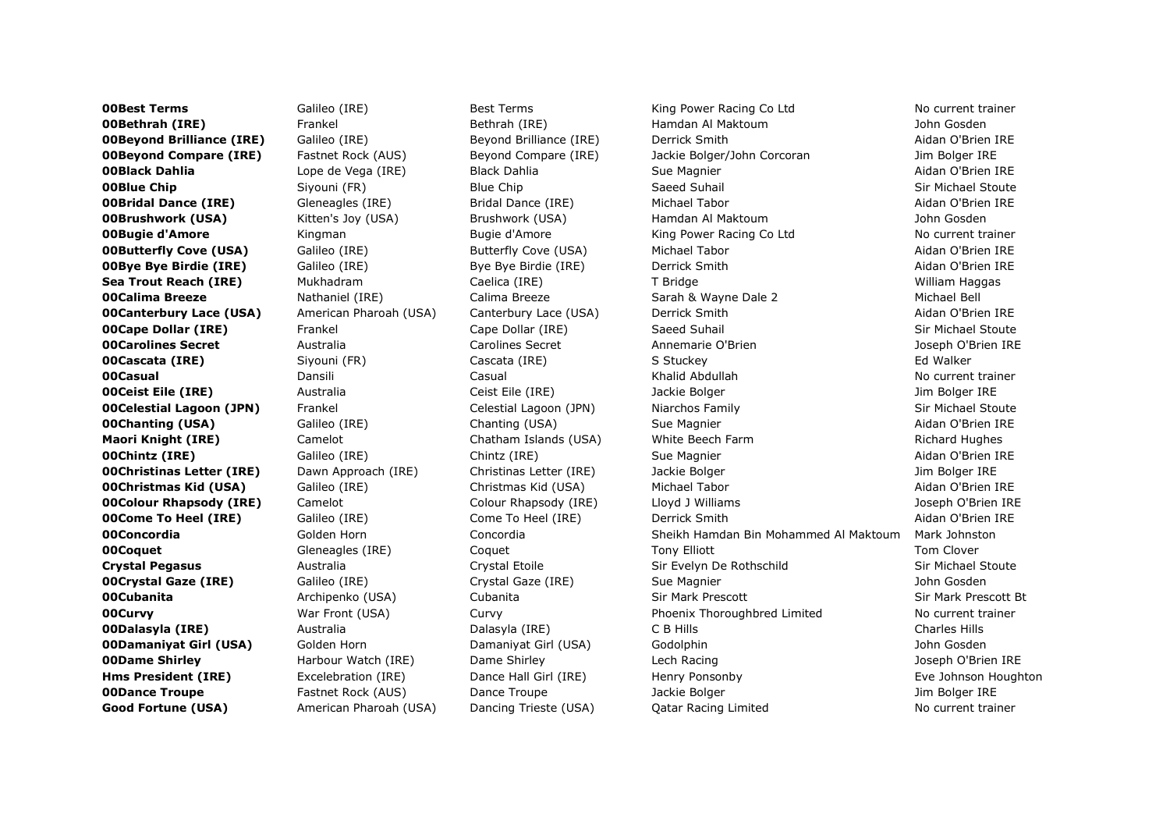**OOBest Terms** Galileo (IRE) Best Terms King Power Racing Co Ltd No current trainer **OOBethrah (IRE)** Frankel Bethrah (IRE) Hamdan Al Maktoum Hamdan Al Maktoum John Gosden **00Beyond Brilliance (IRE)** Galileo (IRE) Beyond Brilliance (IRE) Derrick Smith And Derrick Aidan O'Brien IRE **00Beyond Compare (IRE)** Fastnet Rock (AUS) Beyond Compare (IRE) Jackie Bolger/John Corcoran Jim Bolger IRE **00Black Dahlia Lope de Vega (IRE)** Black Dahlia Sue Magnier **Sue Magnier** Aidan O'Brien IRE **00Blue Chip** Siyouni (FR) Blue Chip Saeed Suhail Stoute Sare Sir Michael Stoute **00Bridal Dance (IRE)** Gleneagles (IRE) Giridal Dance (IRE) Michael Tabor And Dance Aidan O'Brien IRE **00Brushwork (USA)** Kitten's Joy (USA) Brushwork (USA) Hamdan Al Maktoum Hamdan Al Maktoum John Gosden **00Bugie d'Amore** Kingman Bugie d'Amore King Power Racing Co Ltd No current trainer **00Butterfly Cove (USA)** Galileo (IRE) Butterfly Cove (USA) Michael Tabor Aidan O'Brien IRE **00Bye Bye Birdie (IRE)** Galileo (IRE) Bye Bye Birdie (IRE) Berrick Smith And Britan O'Brien IRE Sea Trout Reach (IRE) Mukhadram Caelica (IRE) T Bridge Trout Reach William Haggas **00Calima Breeze Nathaniel (IRE)** Calima Breeze Sarah & Wayne Dale 2 Michael Bell **00Canterbury Lace (USA)** American Pharoah (USA) Canterbury Lace (USA) Derrick Smith American O'Brien IRE **00Cape Dollar (IRE)** Frankel Cape Dollar (IRE) Saeed Suhail Sir Michael Stoute **00Carolines Secret** Australia and Carolines Secret Annemarie O'Brien announce and Diseph O'Brien IRE 00Cascata (IRE) Siyouni (FR) Cascata (IRE) S Stuckey Ed Walker **00Casual** No current trainer Dansili No current Casual No current Example 2014 (Casual No current trainer No current trainer **OOCeist Eile (IRE)** Australia and Ceist Eile (IRE) and Jackie Bolger and James Jim Bolger IRE **00Celestial Lagoon (JPN)** Frankel Celestial Lagoon (JPN) Niarchos Family Sir Michael Stoute **OOChanting (USA)** Galileo (IRE) Chanting (USA) Sue Magnier Sue Handlier Aidan O'Brien IRE **Maori Knight (IRE)** Camelot Camelot Chatham Islands (USA) White Beech Farm Richard Hughes **00Chintz (IRE)** Galileo (IRE) Chintz (IRE) Sue Magnier Sue Magnier Aidan O'Brien IRE **00Christinas Letter (IRE)** Dawn Approach (IRE) Christinas Letter (IRE) Jackie Bolger Van Approach (IRE) Dawn Bolger IRE **00Christmas Kid (USA)** Galileo (IRE) Christmas Kid (USA) Michael Tabor Aidan O'Brien IRE **00Colour Rhapsody (IRE)** Camelot Colour Rhapsody (IRE) Lloyd J Williams Joseph O'Brien IRE **00Come To Heel (IRE)** Galileo (IRE) Come To Heel (IRE) Derrick Smith And Derrick Smith Aidan O'Brien IRE **00Concordia** 601 Golden Horn Concordia Concordia Sheikh Hamdan Bin Mohammed Al Maktoum Mark Johnston **OOCoquet** Cleneagles (IRE) Coquet County Tony Elliott Tom Clover Tom Clover Crystal Pegasus **Australia** Australia Crystal Etoile Sir Evelyn De Rothschild Sir Michael Stoute **00Crystal Gaze (IRE)** Galileo (IRE) Crystal Gaze (IRE) Sue Magnier Sue Hosten Support of Bosden 00Cubanita Archipenko (USA) Cubanita Sir Mark Prescott Sir Mark Prescott Bt **00Curvy** Mar Front (USA) Curvy Phoenix Thoroughbred Limited No current trainer **00Dalasyla (IRE)** and the Australia and Dalasyla (IRE) C B Hills Charles Hills Charles Hills Charles Hills Charles Hills **00Damanivat Girl (USA)** Golden Horn **Golden Horn Britannivat Girl (USA)** Godolphin Gosden John Gosden **OODame Shirley Harbour Watch (IRE)** Dame Shirley Lech Racing Lech Racing Joseph O'Brien IRE Hms President (IRE) Excelebration (IRE) Dance Hall Girl (IRE) Henry Ponsonby Eve Johnson Houghton **OODance Troupe** Fastnet Rock (AUS) Dance Troupe Jackie Bolger Manager Jackie Bolger International Development Co Good Fortune (USA) American Pharoah (USA) Dancing Trieste (USA) Qatar Racing Limited No current trainer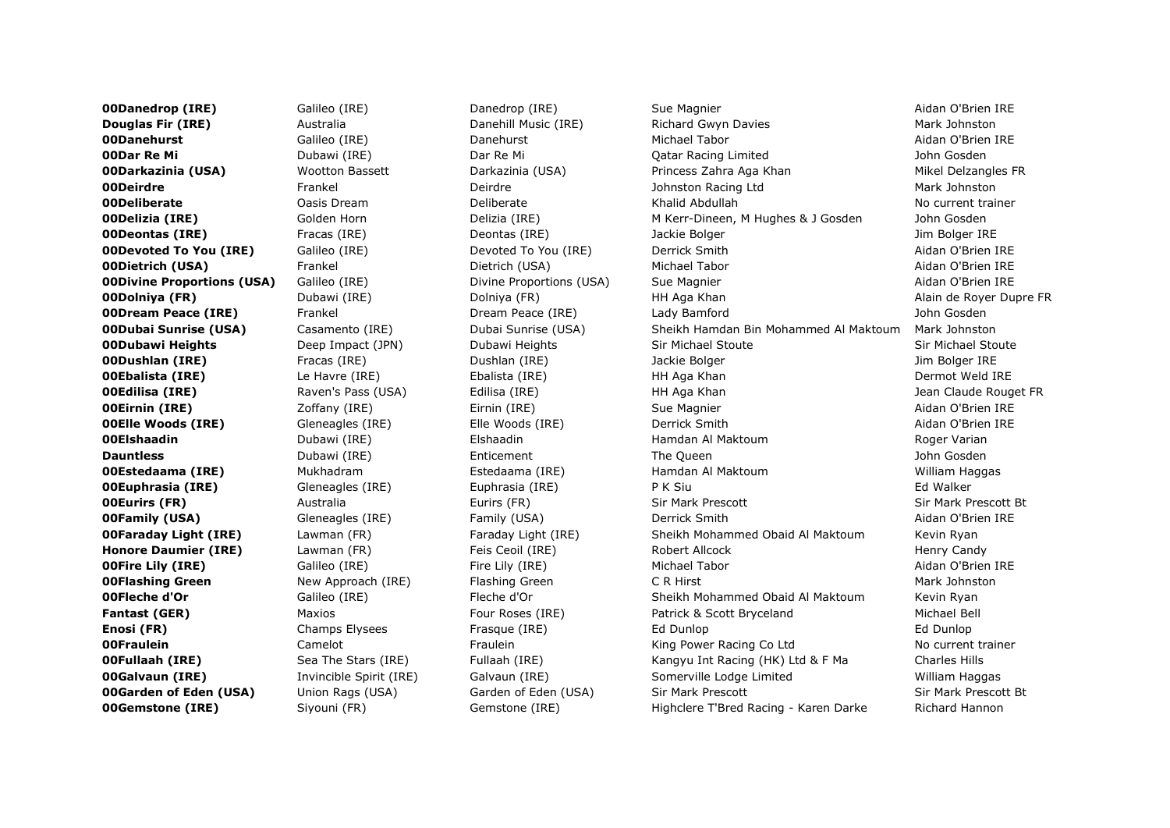**OODanedrop (IRE)** Galileo (IRE) Danedrop (IRE) Sue Magnier Sue Magnier Aidan O'Brien IRE **Douglas Fir (IRE)** Australia Music (IRE) Richard Gwyn Davies Mark Johnston Mark Johnston 00Danehurst Galileo (IRE) Danehurst Michael Tabor Aidan O'Brien IRE **OODar Re Mi Dubawi (IRE)** Dar Re Mi **Dar Re Mi Qatar Racing Limited** Donne Dosden **00Darkazinia (USA)** Wootton Bassett Darkazinia (USA) Princess Zahra Aga Khan Mikel Delzangles FR **00Deirdre** The Frankel **Contract Contract Perrorism Deirdre** Johnston Racing Ltd Mark Johnston Mark Johnston **Mark Johnston** 00Deliberate Oasis Dream Deliberate Khalid Abdullah No current trainer **OODelizia (IRE)** Golden Horn Delizia (IRE) M Kerr-Dineen, M Hughes & J Gosden John Gosden **OODeontas (IRE)** Fracas (IRE) **Fracas (IRE)** Deontas (IRE) Jackie Bolger **December 1996** Jim Bolger IRE **00Devoted To You (IRE)** Galileo (IRE) Devoted To You (IRE) Derrick Smith And Devoted To You (IRE Aidan O'Brien IRE **00Dietrich (USA)** Frankel **Example:** Dietrich (USA) Michael Tabor Aidan O'Brien IRE **00Divine Proportions (USA)** Galileo (IRE) Divine Proportions (USA) Sue Magnier **And Aidan O'Brien IRE 00Dolniya (FR)** Dubawi (IRE) Dolniya (FR) HH Aga Khan Alain de Royer Dupre FR **OODream Peace (IRE)** Frankel **Frankel Commeace (IRE)** Lady Bamford Commeasure Commence of the Bamford Cosden 00Dubai Sunrise (USA) Casamento (IRE) Dubai Sunrise (USA) Sheikh Hamdan Bin Mohammed Al Maktoum Mark Johnston **00Dubawi Heights** Deep Impact (JPN) Dubawi Heights Sir Michael Stoute Sir Michael Stoute Sir Michael Stoute **00Dushlan (IRE)** Fracas (IRE) Dushlan (IRE) Jackie Bolger Jim Bolger IRE **00Ebalista (IRE)** Le Havre (IRE) Balista (IRE) HH Aga Khan Dermot Weld IRE Dermot Weld IRE **OOEdilisa (IRE)** Raven's Pass (USA) and Edilisa (IRE) and HH Aga Khan Medilisa (IRE) and Dean Claude Rouget FR 00Eirnin (IRE) Zoffany (IRE) Eirnin (IRE) Sue Magnier Aidan O'Brien IRE **OOElle Woods (IRE)** Gleneagles (IRE) Elle Woods (IRE) Derrick Smith Aidan O'Brien IRE 00Elshaadin Dubawi (IRE) Elshaadin Hamdan Al Maktoum Roger Varian **Dauntless** The Court Community Dubawi (IRE) **Enticement** The Queen The Queen And The Outlet Community Dohn Gosden **00Estedaama (IRE)** Mukhadram Estedaama (IRE) Hamdan Al Maktoum William Haggas **00Euphrasia (IRE)** Gleneagles (IRE) Guphrasia (IRE) P K Siu P H Siu Ed Walker **00Eurirs (FR)** Australia Eurirs (FR) Sir Mark Prescott Sir Mark Prescott Bt **00Family (USA)** Gleneagles (IRE) Family (USA) Derrick Smith Aidan O'Brien IRE **00Faraday Light (IRE)** Lawman (FR) Faraday Light (IRE) Sheikh Mohammed Obaid Al Maktoum Kevin Ryan Honore Daumier (IRE) Lawman (FR) Feis Ceoil (IRE) Robert Allcock Henry Candy Henry Candy **OOFire Lily (IRE)** Galileo (IRE) Fire Lily (IRE) Michael Tabor Atlantic Michael Tabor Aidan O'Brien IRE **OOFlashing Green** New Approach (IRE) Flashing Green C R Hirst C R Hirst Mark Johnston **00Fleche d'Or Example Calileo (IRE)** Fleche d'Or **Sheikh Mohammed Obaid Al Maktoum** Kevin Ryan **Fantast (GER)** Maxios Maxios Four Roses (IRE) Patrick & Scott Bryceland Michael Bell **Enosi (FR)** Entertainment Champs Elysees Frasque (IRE) Entertainment Ed Dunlop Ed Dunlop Ed Dunlop Ed Dunlop **OOFraulein** Camelot Camelot Fraulein Fraulein King Power Racing Co Ltd No current trainer **00Fullaah (IRE)** Sea The Stars (IRE) Fullaah (IRE) Kangyu Int Racing (HK) Ltd & F Ma Charles Hills **00Galvaun (IRE)** Invincible Spirit (IRE) Galvaun (IRE) Somerville Lodge Limited William Haggas **00Garden of Eden (USA)** Union Rags (USA) Garden of Eden (USA) Sir Mark Prescott Sir Mark Prescott Bt **00Gemstone (IRE)** Siyouni (FR) Gemstone (IRE) Highclere T'Bred Racing - Karen Darke Richard Hannon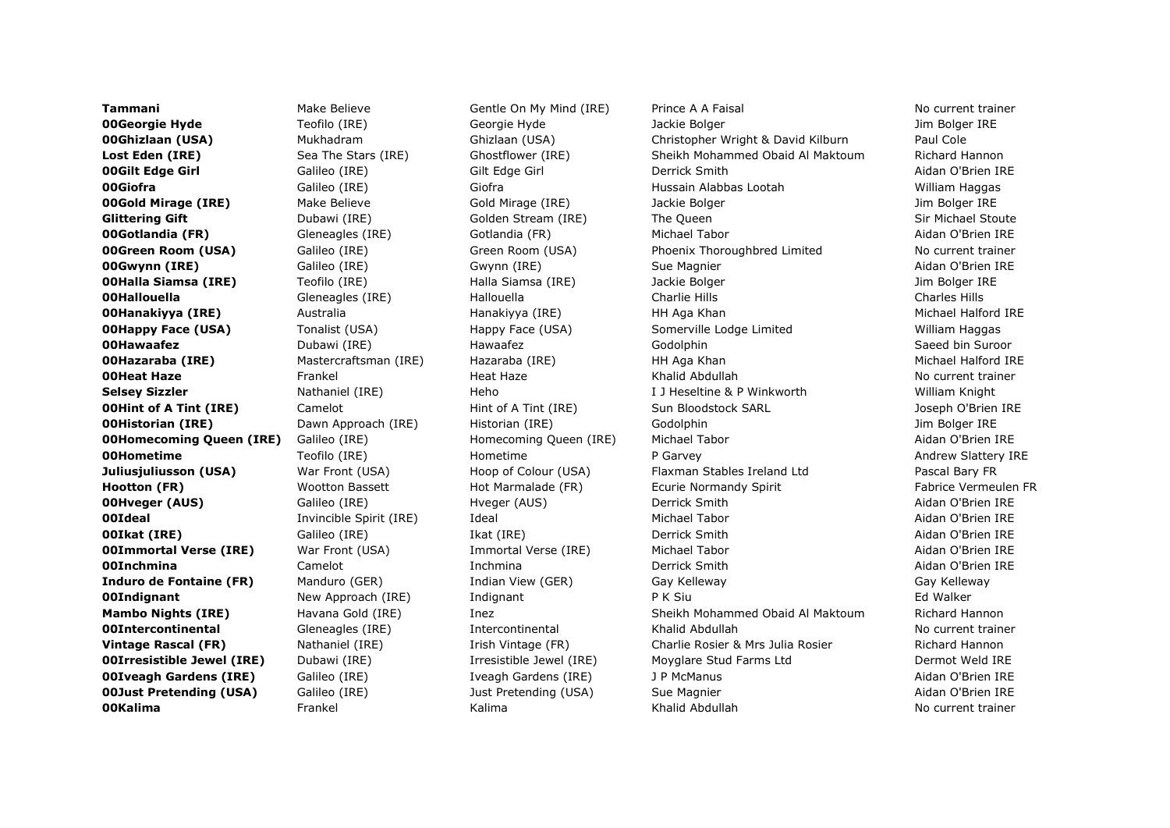**00Kalima** No eurrent trainer Frankel No Kalima Khalid Abdullah No kurrent trainer No current trainer

**Tammani** Make Believe Gentle On My Mind (IRE) Prince A A Faisal No current trainer 00Georgie Hyde Teofilo (IRE) Georgie Hyde Jackie Bolger Jim Bolger IRE **00Ghizlaan (USA)** Mukhadram Ghizlaan (USA) Christopher Wright & David Kilburn Paul Cole Lost Eden (IRE) Sea The Stars (IRE) Ghostflower (IRE) Sheikh Mohammed Obaid Al Maktoum Richard Hannon 00Gilt Edge Girl Galileo (IRE) Gilt Edge Girl Derrick Smith Aidan O'Brien IRE 00Giofra Galileo (IRE) Giofra Hussain Alabbas Lootah William Haggas **00Gold Mirage (IRE)** Make Believe Gold Mirage (IRE) and Jackie Bolger Mathematic Jim Bolger IRE and Mirage Jim Bolger IRE Glittering Gift **State Community Community** Golden Stream (IRE) The Queen Sir Michael Stoute Sir Michael Stoute **00Gotlandia (FR)** Gleneagles (IRE) Gotlandia (FR) Michael Tabor Aidan O'Brien IRE **00Green Room (USA)** Galileo (IRE) Green Room (USA) Phoenix Thoroughbred Limited No current trainer 00Gwynn (IRE) Galileo (IRE) Gwynn (IRE) Sue Magnier Aidan O'Brien IRE **00Halla Siamsa (IRE)** Teofilo (IRE) Halla Siamsa (IRE) Jackie Bolger Manual Siamsa (IRE Jim Bolger IRE **OOHallouella** Cleneagles (IRE) Hallouella Charlie Hills Charlie Hills Charles Hills Charles Hills Charles Hills **OOHanakiyya (IRE)** Australia Hanakiyya (IRE) HH Aga Khan Michael Halford IRE **00Happy Face (USA)** Tonalist (USA) Happy Face (USA) Somerville Lodge Limited William Haggas 00Hawaafez Dubawi (IRE) Hawaafez Godolphin Saeed bin Suroor **OOHazaraba (IRE)** Mastercraftsman (IRE) Hazaraba (IRE) HH Aga Khan Michael Halford IRE **00Heat Haze Erankel Heat Haze Khalid Abdullah No current trainer** No current trainer Selsey Sizzler **Nathaniel (IRE)** Heho I J Heseltine & P Winkworth William Knight Milliam Knight **OOHint of A Tint (IRE)** Camelot Camelot Hint of A Tint (IRE) Sun Bloodstock SARL Sun Bloodstock SARL Joseph O'Brien IRE **OOHistorian (IRE)** Dawn Approach (IRE) Historian (IRE) Godolphin Godolphin Jim Bolger IRE **00Homecoming Queen (IRE)** Galileo (IRE) **Homecoming Queen (IRE)** Michael Tabor **Aidan O'Brien IRE OOHometime** Teofilo (IRE) Hometime Registery Registery P Garvey Andrew Slattery IRE **Juliusjuliusson (USA)** War Front (USA) Hoop of Colour (USA) Flaxman Stables Ireland Ltd Pascal Bary FR Hootton (FR) Wootton Bassett Hot Marmalade (FR) Ecurie Normandy Spirit Fabrice Vermeulen FR 00Hveger (AUS) Galileo (IRE) Hveger (AUS) Derrick Smith Aidan O'Brien IRE **00Ideal** Invincible Spirit (IRE) Ideal Michael Tabor Aidan O'Brien IRE **00Ikat (IRE)** Galileo (IRE) Ikat (IRE) Derrick Smith Aidan O'Brien IRE **00Immortal Verse (IRE)** War Front (USA) Immortal Verse (IRE) Michael Tabor Aidan O'Brien IRE 00Inchmina Camelot Inchmina Derrick Smith Aidan O'Brien IRE Induro de Fontaine (FR) Manduro (GER) Indian View (GER) Gay Kelleway Gay Kelleway Gay Kelleway **OOIndignant** New Approach (IRE) and indignant P K Siu P K Siu Ed Walker Mambo Nights (IRE) Havana Gold (IRE) Inez Sheikh Mohammed Obaid Al Maktoum Richard Hannon **00Intercontinental** Gleneagles (IRE) and Intercontinental Khalid Abdullah No current trainer **Vintage Rascal (FR)** Nathaniel (IRE) Irish Vintage (FR) Charlie Rosier & Mrs Julia Rosier Richard Hannon **00Irresistible Jewel (IRE)** Dubawi (IRE) Irresistible Jewel (IRE) Moyglare Stud Farms Ltd Dermot Weld IRE **00Iveagh Gardens (IRE)** Galileo (IRE) Iveagh Gardens (IRE) J P McManus Aidan O'Brien IRE **00Just Pretending (USA)** Galileo (IRE) Just Pretending (USA) Sue Magnier Aidan O'Brien IRE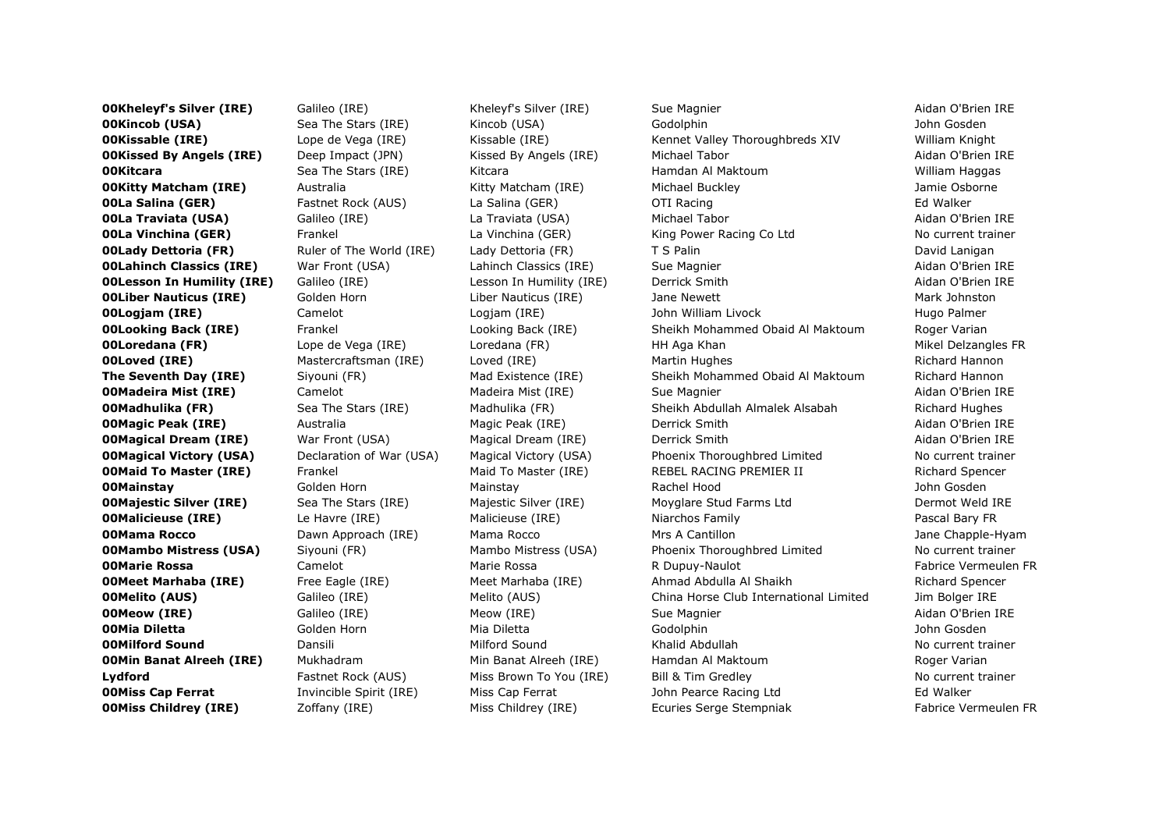**OOKheleyf's Silver (IRE)** Galileo (IRE) Kheleyf's Silver (IRE) Sue Magnier Sue Hagnier Aidan O'Brien IRE **OOKincob (USA)** Sea The Stars (IRE) (Kincob (USA) Godolphin Gooden John Gosden **OOKissable (IRE)** Lope de Vega (IRE) Kissable (IRE) Kennet Valley Thoroughbreds XIV William Knight **00Kissed By Angels (IRE)** Deep Impact (JPN) Kissed By Angels (IRE) Michael Tabor Angels (IRE) Aidan O'Brien IRE **OOKitcara** Sea The Stars (IRE) Kitcara Namdan Al Maktoum Naman Al Maktoum William Haggas **00Kitty Matcham (IRE)** Australia Kitty Matcham (IRE) Michael Buckley Michael Buckley Jamie Osborne **OOLa Salina (GER)** Fastnet Rock (AUS) La Salina (GER) OTI Racing Communication and Halker **00La Traviata (USA)** Galileo (IRE) La Traviata (USA) Michael Tabor Atlan Aidan O'Brien IRE **00La Vinchina (GER)** Frankel **Example 2018** La Vinchina (GER) King Power Racing Co Ltd No current trainer **00Lady Dettoria (FR)** Ruler of The World (IRE) Lady Dettoria (FR) T S Palin T S Particular David Lanigan **00Lahinch Classics (IRE)** War Front (USA) Lahinch Classics (IRE) Sue Magnier And The Communist Classics (IRE Sue Magnier Aidan O'Brien IRE **00Lesson In Humility (IRE)** Galileo (IRE) Lesson In Humility (IRE) Derrick Smith And Aidan O'Brien IRE **00Liber Nauticus (IRE)** Golden Horn Liber Nauticus (IRE) Jane Newett Mark Johnston Mark Johnston **00Logjam (IRE)** Camelot Camelot Logjam (IRE) John William Livock Hugo Palmer **00Looking Back (IRE)** Frankel **Frankel Example Back (IRE)** Sheikh Mohammed Obaid Al Maktoum Roger Varian **00Loredana (FR)** Lope de Vega (IRE) Loredana (FR) HH Aga Khan Mikel Delzangles FR **00Loved (IRE)** Mastercraftsman (IRE) Loved (IRE) Martin Hughes Martin Hughes Richard Hannon **The Seventh Day (IRE)** Siyouni (FR) Mad Existence (IRE) Sheikh Mohammed Obaid Al Maktoum Richard Hannon **OOMadeira Mist (IRE)** Camelot Camelot Madeira Mist (IRE) Sue Magnier Camelon Controller Aidan O'Brien IRE **00Madhulika (FR)** Sea The Stars (IRE) Madhulika (FR) Sheikh Abdullah Almalek Alsabah Richard Hughes **00Magic Peak (IRE)** Australia Magic Peak (IRE) Derrick Smith Aidan O'Brien IRE **00Magical Dream (IRE)** War Front (USA) Magical Dream (IRE) Derrick Smith And Derrick Smith Aidan O'Brien IRE **00Magical Victory (USA)** Declaration of War (USA) Magical Victory (USA) Phoenix Thoroughbred Limited No current trainer **00Maid To Master (IRE)** Frankel Maid To Master (IRE) REBEL RACING PREMIER II Richard Spencer 00Mainstay Golden Horn Mainstay Rachel Hood John Gosden **00Majestic Silver (IRE)** Sea The Stars (IRE) Majestic Silver (IRE) Moyglare Stud Farms Ltd Dermot Weld IRE **00Malicieuse (IRE)** Le Havre (IRE) Malicieuse (IRE) Niarchos Family Niarchos Family Pascal Bary FR **00Mama Rocco School Came Dawn Approach (IRE)** Mama Rocco Mrs A Cantillon Mrs A Cantillon Mrs A Cantillon Dane Chapple-Hyam **00Mambo Mistress (USA)** Siyouni (FR) Mambo Mistress (USA) Phoenix Thoroughbred Limited No current trainer **OOMarie Rossa** Camelot Camelot Marie Rossa R Dupuy-Naulot Fabrice Vermeulen FR and Fabrice Vermeulen FR **00Meet Marhaba (IRE)** Free Eagle (IRE) Meet Marhaba (IRE) Ahmad Abdulla Al Shaikh Richard Spencer **00Melito (AUS)** Galileo (IRE) Melito (AUS) China Horse Club International Limited Jim Bolger IRE **00Meow (IRE)** Galileo (IRE) Meow (IRE) Sue Magnier Sue Magnier Aidan O'Brien IRE 00Mia Diletta Golden Horn Mia Diletta Godolphin John Gosden **00Milford Sound Dansili** Dansili Milford Sound Khalid Abdullah No current trainer **00Min Banat Alreeh (IRE)** Mukhadram Min Banat Alreeh (IRE) Hamdan Al Maktoum Roger Varian Lydford Fastnet Rock (AUS) Miss Brown To You (IRE) Bill & Tim Gredley No current trainer No current trainer **00Miss Cap Ferrat** Invincible Spirit (IRE) Miss Cap Ferrat John Pearce Racing Ltd Cap Ferrat Ed Walker **00Miss Childrey (IRE)** Zoffany (IRE) Miss Childrey (IRE) Ecuries Serge Stempniak Fabrice Vermeulen FR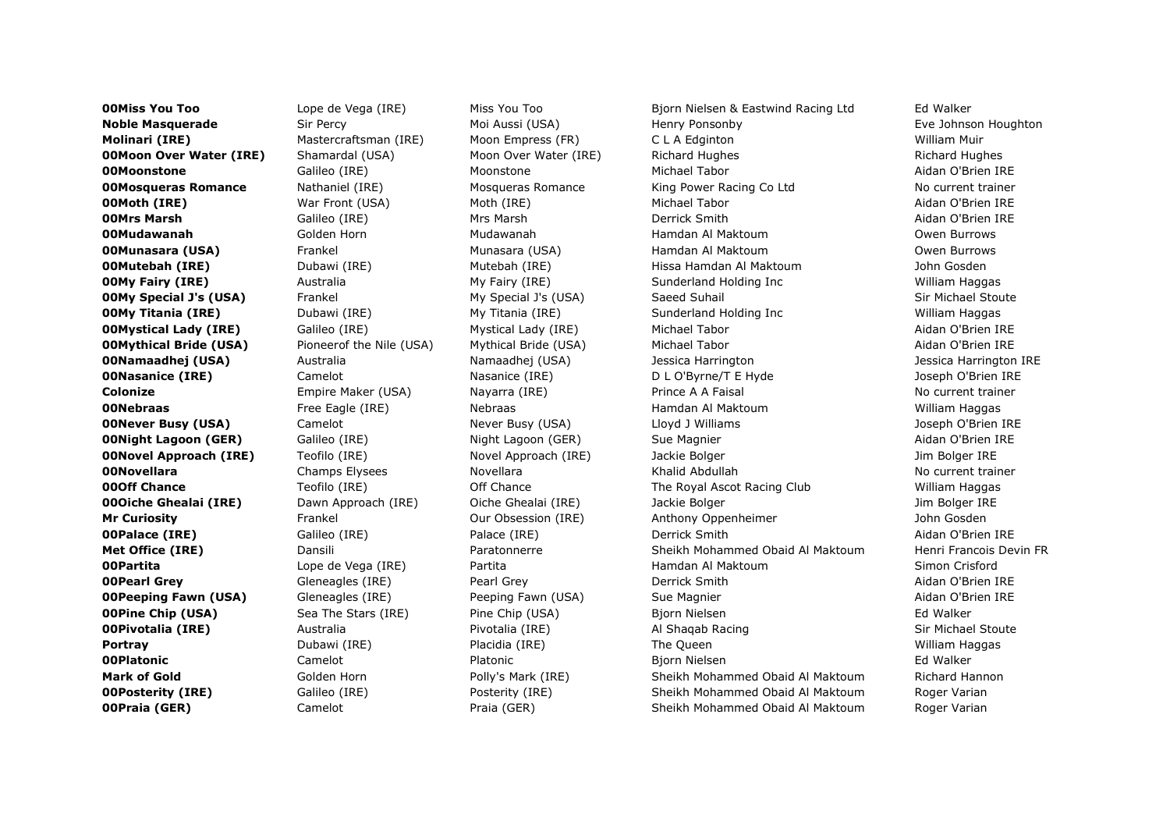**00Miss You Too Lope de Vega (IRE)** Miss You Too Bjorn Nielsen & Eastwind Racing Ltd Ed Walker Noble Masquerade Sir Percy Moi Aussi (USA) Henry Ponsonby Henry Ponsonby Eve Johnson Houghton Molinari (IRE) Mastercraftsman (IRE) Moon Empress (FR) C L A Edginton William Muir **00Moon Over Water (IRE)** Shamardal (USA) Moon Over Water (IRE) Richard Hughes Richard Hughes Richard Hughes 00Moonstone Galileo (IRE) Moonstone Michael Tabor Aidan O'Brien IRE **00Mosqueras Romance** Mathaniel (IRE) Mosqueras Romance King Power Racing Co Ltd No current trainer **00Moth (IRE)** War Front (USA) Moth (IRE) Michael Tabor Michael Tabor Aidan O'Brien IRE 00Mrs Marsh Galileo (IRE) Mrs Marsh Derrick Smith Aidan O'Brien IRE **00Mudawanah** Golden Horn Mudawanah Hamdan Al Maktoum Owen Burrows **00Munasara (USA)** Frankel Munasara (USA) Hamdan Al Maktoum **Company Company Alian Al Maktoum** Owen Burrows **00Mutebah (IRE)** Dubawi (IRE) Mutebah (IRE) Hissa Hamdan Al Maktoum Montebah (IRE) Hissa Hamdan Al Maktoum John Gosden **00My Fairy (IRE)** Australia My Fairy (IRE) Sunderland Holding Inc William Haggas Sunderland Holding Inc William Haggas **00My Special J's (USA)** Frankel My Special J's (USA) Saeed Suhail Sin Michael Stoute **OOMy Titania (IRE)** Dubawi (IRE) My Titania (IRE) Sunderland Holding Inc William Haggas **00Mystical Lady (IRE)** Galileo (IRE) Mystical Lady (IRE) Michael Tabor Aidan O'Brien IRE **00Mythical Bride (USA)** Pioneerof the Nile (USA) Mythical Bride (USA) Michael Tabor Michael Tabor Aidan O'Brien IRE **00Namaadhej (USA)** Australia Mamaadhej (USA) Jessica Harrington Mamaadhej (USA) Jessica Harrington IRE **00Nasanice (IRE)** Camelot Camelot Nasanice (IRE) D L O'Byrne/T E Hyde Joseph O'Brien IRE **Colonize Empire Maker (USA)** Nayarra (IRE) Prince A A Faisal No current trainer **00Nebraas** Free Eagle (IRE) Nebraas Hamdan Al Maktoum Hamdan Al Maktoum William Haggas **00Never Busy (USA)** Camelot Camelot Never Busy (USA) Lloyd J Williams Component Doseph O'Brien IRE **00Night Lagoon (GER)** Galileo (IRE) Night Lagoon (GER) Sue Magnier Aidan O'Brien IRE **00Novel Approach (IRE)** Teofilo (IRE) Novel Approach (IRE) Jackie Bolger Novel Approach (IRE) Jackie Bolger INE **00Novellara** Novellara Champs Elysees Novellara Novellara Khalid Abdullah No current trainer **00Off Chance** Teofilo (IRE) Off Chance The Royal Ascot Racing Club William Haggas Communication The Royal Ascot Racing Club **00Oiche Ghealai (IRE)** Dawn Approach (IRE) Oiche Ghealai (IRE) Dackie Bolger Mannes and Dim Bolger IRE **Mr Curiosity Frankel Curiosity Curiosity** Our Obsession (IRE) Anthony Oppenheimer Anthony Oppenheimer John Gosden **00Palace (IRE)** Galileo (IRE) Balace (IRE) Derrick Smith Aidan O'Brien IRE Met Office (IRE) Dansili Dansili Paratonnerre Sheikh Mohammed Obaid Al Maktoum Henri Francois Devin FR **OOPartita** and Lope de Vega (IRE) and Partita and Hamdan Al Maktoum Simon Crisford Simon Crisford 00Pearl Grey Gleneagles (IRE) Pearl Grey Derrick Smith Aidan O'Brien IRE **OOPeeping Fawn (USA)** Gleneagles (IRE) Peeping Fawn (USA) Sue Magnier Aidan O'Brien IRE **OOPine Chip (USA)** Sea The Stars (IRE) Pine Chip (USA) Bjorn Nielsen Biorn Nielsen Ed Walker **00Pivotalia (IRE)** Australia Australia Pivotalia (IRE) Al Shaqab Racing Al Shaqab Racing Sir Michael Stoute Portray Dubawi (IRE) Placidia (IRE) The Queen William Haggas **00Platonic** Camelot Camelot Platonic Biorn Nielsen Biorn Nielsen Ed Walker Mark of Gold Golden Horn Polly's Mark (IRE) Sheikh Mohammed Obaid Al Maktoum Richard Hannon **00Posterity (IRE)** Galileo (IRE) Posterity (IRE) Sheikh Mohammed Obaid Al Maktoum Roger Varian **OOPraia (GER)** Camelot Camelot Praia (GER) Sheikh Mohammed Obaid Al Maktoum Roger Varian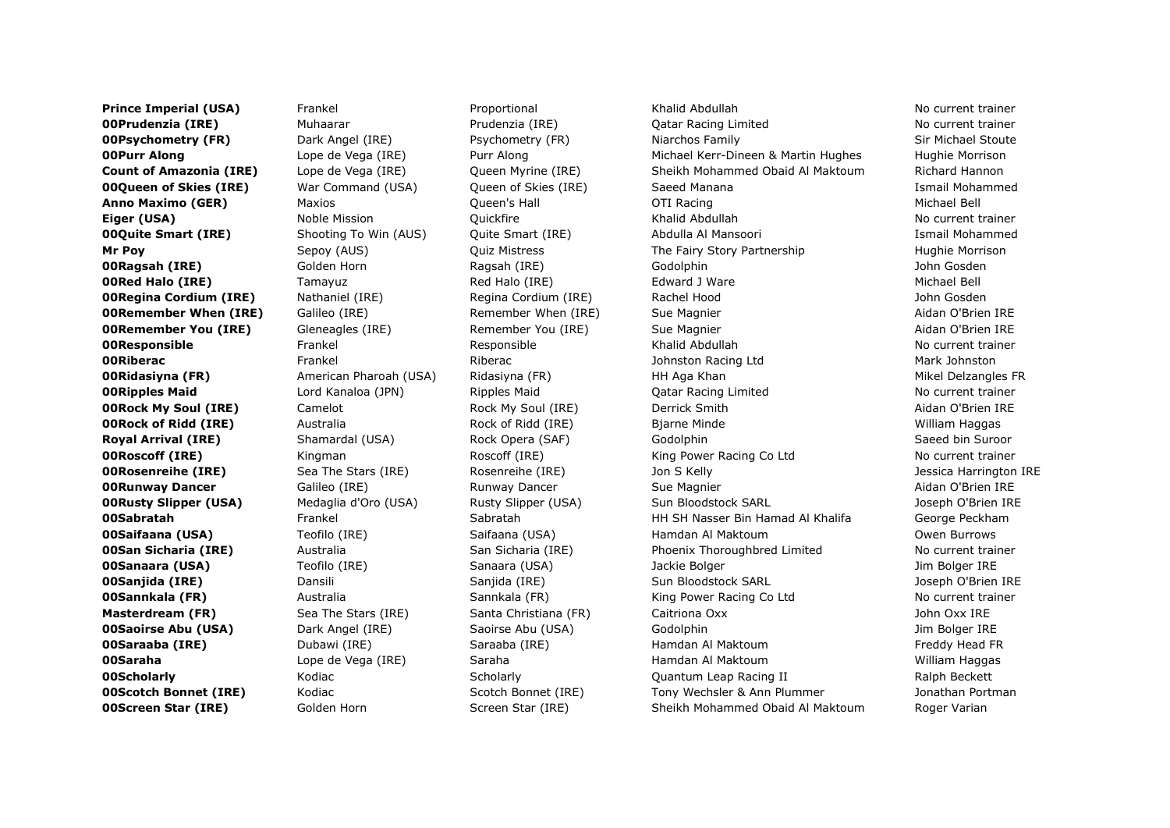**Prince Imperial (USA)** Frankel **Frankel Proportional Khalid Abdullah No current trainer** No current trainer **00Prudenzia (IRE)** Muhaarar Muhaarar Prudenzia (IRE) Qatar Racing Limited No current trainer **00Psychometry (FR)** Dark Angel (IRE) Psychometry (FR) Niarchos Family Niarchos Family Sir Michael Stoute **00Purr Along Lope de Vega (IRE)** Purr Along Michael Kerr-Dineen & Martin Hughes Hughie Morrison Count of Amazonia (IRE) Lope de Vega (IRE) Oueen Myrine (IRE) Sheikh Mohammed Obaid Al Maktoum Richard Hannon **00Queen of Skies (IRE)** War Command (USA) Queen of Skies (IRE) Saeed Manana Ismail Mohammed Ismail Mohammed **Anno Maximo (GER)** Maxios Maxios Cueen's Hall **Maximo Contained Bell Contained Bell Anno Michael Bell** Michael Bell **Eiger (USA)** Noble Mission Quickfire **Noble Abdullah No current trainer** No current trainer **00Quite Smart (IRE)** Shooting To Win (AUS) Quite Smart (IRE) Abdulla Al Mansoori Shooting Ismail Mohammed **Mr Poy** Sepoy (AUS) Ouiz Mistress The Fairy Story Partnership Hughie Morrison 00Ragsah (IRE) Golden Horn Ragsah (IRE) Godolphin John Gosden **OORed Halo (IRE)** Tamayuz Red Halo (IRE) Edward J Ware The Michael Bell Containers and Development Michael Bell **OORegina Cordium (IRE)** Nathaniel (IRE) Regina Cordium (IRE) Rachel Hood John Gosden **OORemember When (IRE)** Galileo (IRE) **Remember When (IRE)** Sue Magnier **And Australian O'Brien IRE OORemember You (IRE)** Gleneagles (IRE) Genember You (IRE) Sue Magnier Aidan O'Brien IRE **00Responsible** Frankel Responsible Khalid Abdullah No current trainer **OORiberac** Frankel Frankel Riberac Johnston Racing Ltd Mark Johnston Mark Johnston Racing Ltd Mark Johnston **OORidasiyna (FR)** American Pharoah (USA) Ridasiyna (FR) HH Aga Khan Mikel Delzangles FR **OORipples Maid** Lord Kanaloa (JPN) Ripples Maid Catar Racing Limited No current trainer **00Rock My Soul (IRE)** Camelot Camelot Rock My Soul (IRE) Derrick Smith And Derrick Smith Aidan O'Brien IRE **OORock of Ridd (IRE)** Australia **Australia Rock of Ridd (IRE)** Bjarne Minde **By By Australiam Haggas** William Haggas **Royal Arrival (IRE)** Shamardal (USA) Rock Opera (SAF) Godolphin Saeed bin Suroor **OORoscoff (IRE)** Kingman Kingman Roscoff (IRE) King Power Racing Co Ltd No current trainer **OORosenreihe (IRE)** Sea The Stars (IRE) Sea The Stars (IRE) Search Assenreihe (IRE) Jon S Kelly Search Assence Harrington IRE **OORunway Dancer** Galileo (IRE) Runway Dancer Sue Magnier Sue Magnier Aidan O'Brien IRE **00Rusty Slipper (USA)** Medaglia d'Oro (USA) Rusty Slipper (USA) Sun Bloodstock SARL Sun Bloodstock SARL Joseph O'Brien IRE **00Sabratah Exabel Sabratah Sabratah HH SH Nasser Bin Hamad Al Khalifa** George Peckham **00Saifaana (USA)** Teofilo (IRE) Saifaana (USA) Hamdan Al Maktoum Naktoum Owen Burrows **00San Sicharia (IRE)** Australia San Sicharia (IRE) Phoenix Thoroughbred Limited No current trainer **00Sanaara (USA)** Teofilo (IRE) Sanaara (USA) Jackie Bolger Manaara (USA) Jackie Bolger Jackie Bolger Jim Bolger IRE **00Sanjida (IRE)** Dansili Dansili Sanjida (IRE) Sun Bloodstock SARL Sun Bloodstock SARL Joseph O'Brien IRE **00Sannkala (FR)** Australia Manuel Sannkala (FR) King Power Racing Co Ltd No current trainer **Masterdream (FR)** Sea The Stars (IRE) Santa Christiana (FR) Caitriona Oxx Santa Christiana (FR) Caitriona Oxx Santa Christiana (FR) Santa Christiana (FR) Santa Christiana (FR) Caitriona Oxx Santa Christiana (FR) Santa Chr **00Saoirse Abu (USA)** Dark Angel (IRE) Saoirse Abu (USA) Godolphin Godolphin Jim Bolger IRE **00Saraaba (IRE)** Dubawi (IRE) Saraaba (IRE) Saraaba (IRE) Hamdan Al Maktoum Naktoum Freddy Head FR 00Saraha Lope de Vega (IRE) Saraha Hamdan Al Maktoum William Haggas **00Scholarly Kodiac** Scholarly Scholarly **Quantum Leap Racing II** Ralph Beckett **00Scotch Bonnet (IRE)** Kodiac Scotch Bonnet (IRE) Tony Wechsler & Ann Plummer Jonathan Portman **00Screen Star (IRE)** Golden Horn Screen Star (IRE) Sheikh Mohammed Obaid Al Maktoum Roger Varian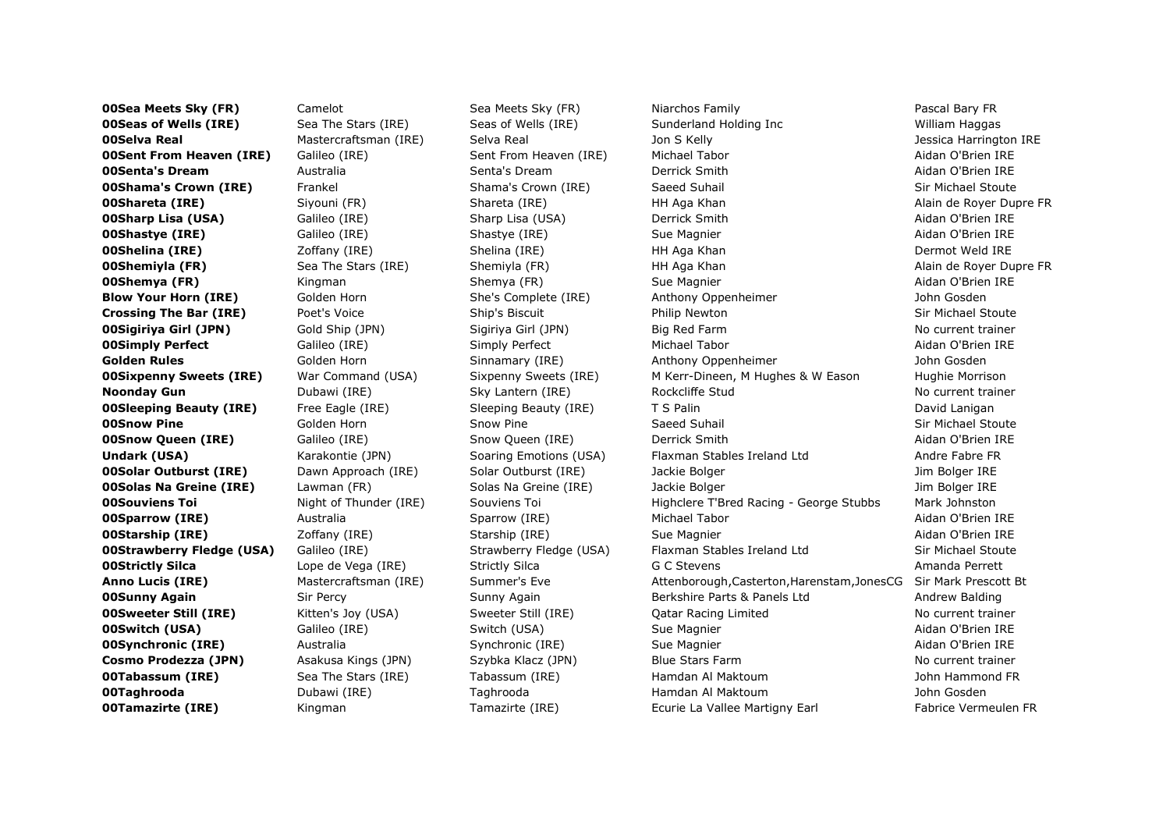**00Sea Meets Sky (FR)** Camelot Sea Meets Sky (FR) Niarchos Family Niarchos Family Pascal Bary FR **00Seas of Wells (IRE)** Sea The Stars (IRE) Seas of Wells (IRE) Sunderland Holding Inc William Haggas **00Selva Real** Mastercraftsman (IRE) Selva Real Jon S Kelly Jon S Kelly Selva Real Jessica Harrington IRE **00Sent From Heaven (IRE)** Galileo (IRE) Sent From Heaven (IRE) Michael Tabor And Michael Tabor Aidan O'Brien IRE 00Senta's Dream Australia Senta's Dream Derrick Smith Aidan O'Brien IRE **00Shama's Crown (IRE)** Frankel Shama's Crown (IRE) Saeed Suhail Shama's Crown (IRE) Sir Michael Stoute **00Shareta (IRE)** Siyouni (FR) Shareta (IRE) Shareta (IRE) Shareta (IRE) Shareta Alain de Royer Dupre FR **00Sharp Lisa (USA)** Galileo (IRE) Sharp Lisa (USA) Derrick Smith Aidan O'Brien IRE **OOShastye (IRE)** Galileo (IRE) Shastye (IRE) Sue Magnier Sue Magnier Aidan O'Brien IRE 00Shelina (IRE) Zoffany (IRE) Shelina (IRE) HH Aga Khan Dermot Weld IRE **00Shemiyla (FR)** Sea The Stars (IRE) Shemiyla (FR) HH Aga Khan Shan Alain de Royer Dupre FR **00Shemya (FR)** Kingman Shemya (FR) Sue Magnier Sue Home Sue Home Aidan O'Brien IRE Blow Your Horn (IRE) Golden Horn She's Complete (IRE) Anthony Oppenheimer She John Gosden **Crossing The Bar (IRE)** Poet's Voice Ship's Biscuit Philip Newton Ship Newton Sir Michael Stoute **00Sigiriya Girl (JPN)** Gold Ship (JPN) Sigiriya Girl (JPN) Big Red Farm No current trainer **00Simply Perfect** Galileo (IRE) Simply Perfect Michael Tabor Aidan O'Brien IRE Golden Rules **Golden Horn** Golden Horn Sinnamary (IRE) Anthony Oppenheimer Sinnamary (IRE) Anthony Oppenheimer **00Sixpenny Sweets (IRE)** War Command (USA) Sixpenny Sweets (IRE) M Kerr-Dineen, M Hughes & W Eason Hughie Morrison **Noonday Gun** Subawi (IRE) Sky Lantern (IRE) Rockcliffe Stud No current trainer No current trainer **00Sleeping Beauty (IRE)** Free Eagle (IRE) Sleeping Beauty (IRE) T S Palin T S Particular David Lanigan **00Snow Pine** Sir Michael Stoute Golden Horn Show Pine Show Pine Saeed Suhail Sir Michael Stoute Stoute Sir Michael Stoute **00Snow Queen (IRE)** Galileo (IRE) Snow Queen (IRE) Derrick Smith Aidan O'Brien IRE Undark (USA) Karakontie (JPN) Soaring Emotions (USA) Flaxman Stables Ireland Ltd Andre Fabre FR **00Solar Outburst (IRE)** Dawn Approach (IRE) Solar Outburst (IRE) Dackie Bolger Material David Dim Bolger IRE **00Solas Na Greine (IRE)** Lawman (FR) Solas Na Greine (IRE) Jackie Bolger National Solas Na Greine (IRE) Lake Bolger IRE **00Souviens Toi Night of Thunder (IRE)** Souviens Toi **Highclere T'Bred Racing - George Stubbs** Mark Johnston **00Sparrow (IRE)** Australia Manuel Sparrow (IRE) Michael Tabor And Aidan O'Brien IRE **00Starship (IRE)** 20ffany (IRE) Starship (IRE) Sue Magnier Sue Magnier Aidan O'Brien IRE **00Strawberry Fledge (USA)** Galileo (IRE) Strawberry Fledge (USA) Flaxman Stables Ireland Ltd Sir Michael Stoute **00Strictly Silca Lope de Vega (IRE)** Strictly Silca G C Stevens **Amanda Perrett** Anno Lucis (IRE) Mastercraftsman (IRE) Summer's Eve Attenborough,Casterton,Harenstam,JonesCG Sir Mark Prescott Bt **00Sunny Again** Sir Percy Sunny Again Berkshire Parts & Panels Ltd Andrew Balding **OSunny Again 00Sweeter Still (IRE)** Kitten's Joy (USA) Sweeter Still (IRE) Qatar Racing Limited No current trainer **00Switch (USA)** Galileo (IRE) Switch (USA) Sue Magnier Sue Homes Sue Magnier Aidan O'Brien IRE **00Synchronic (IRE)** Australia and Synchronic (IRE) Sue Magnier Aidan O'Brien IRE Cosmo Prodezza (JPN) Asakusa Kings (JPN) Szybka Klacz (JPN) Blue Stars Farm No current trainer **OOTabassum (IRE)** Sea The Stars (IRE) Tabassum (IRE) Hamdan Al Maktoum John Hammond FR 00Taghrooda Dubawi (IRE) Taghrooda Hamdan Al Maktoum John Gosden **00Tamazirte (IRE)** Kingman Tamazirte (IRE) Ecurie La Vallee Martigny Earl Fabrice Vermeulen FR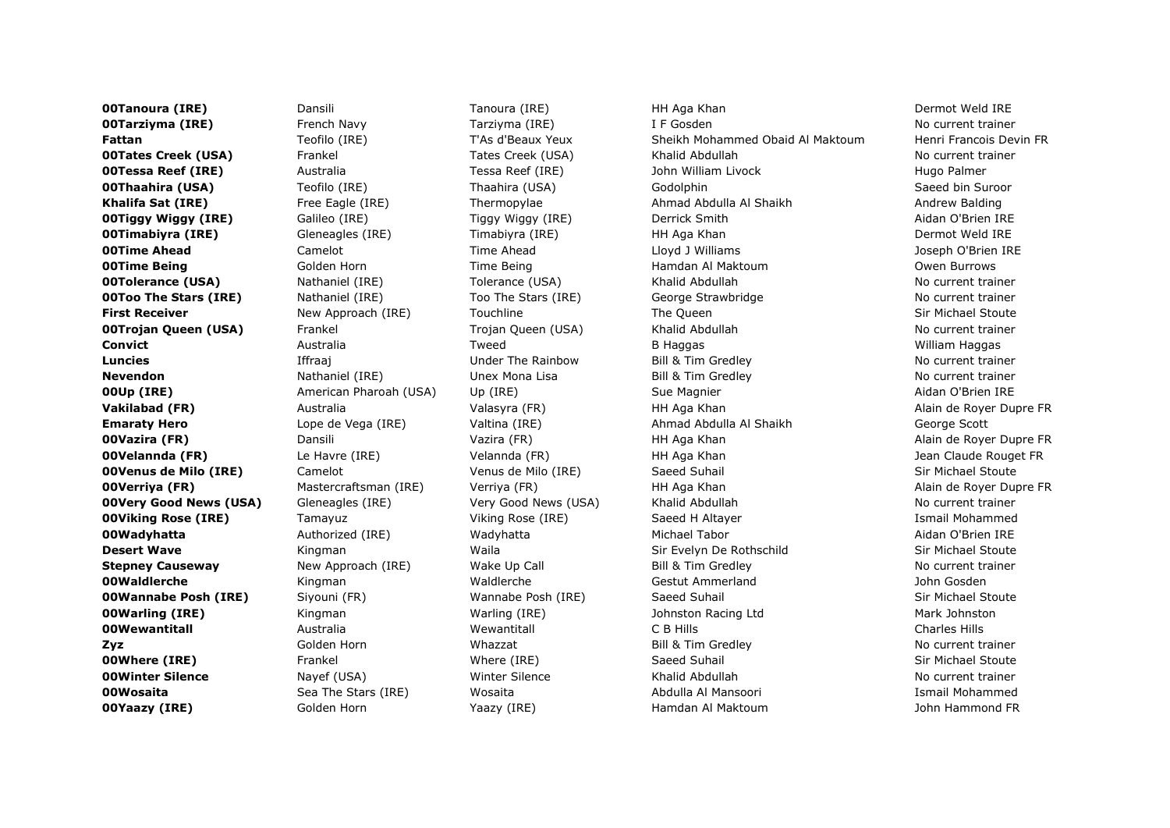**OOTanoura (IRE)** Dansili Dansili Dansili Dansili Dana Dermot Weld IRE Dermot Weld IRE Dermot Weld IRE **OOTarziyma (IRE)** French Navy Tarziyma (IRE) I F Gosden No current trainer Fattan Teofilo (IRE) T'As d'Beaux Yeux Sheikh Mohammed Obaid Al Maktoum Henri Francois Devin FR **00Tates Creek (USA)** Frankel Tates Creek (USA) Khalid Abdullah No current trainer **00Tessa Reef (IRE)** Australia **Australia Metalu Reef (IRE)** and John William Livock and Hugo Palmer **00Thaahira (USA)** Teofilo (IRE) Thaahira (USA) Godolphin Saeed bin Suroor Khalifa Sat (IRE) Free Eagle (IRE) Free Eagle (IRE) Free Eagle (IRE) Thermopylae Ahmad Abdulla Al Shaikh Andrew Balding **OOTiggy Wiggy (IRE)** Galileo (IRE) Tiggy Wiggy (IRE) Derrick Smith And Designed Midan O'Brien IRE **00Timabiyra (IRE)** Gleneagles (IRE) Gleneagles (IRE) Timabiyra (IRE) HH Aga Khan Dermot Weld IRE **00Time Ahead** Camelot Time Ahead Lloyd J Williams Joseph O'Brien IRE **OOTime Being Golden Horn** Golden Horn Time Being Hamdan Al Maktoum **Consume Being** Owen Burrows **00Tolerance (USA)** Nathaniel (IRE) Tolerance (USA) Khalid Abdullah No current trainer **00Too The Stars (IRE)** Nathaniel (IRE) Too The Stars (IRE) George Strawbridge No current trainer **First Receiver New Approach (IRE)** Touchline The Queen The Oueen Sir Michael Stoute **00Trojan Queen (USA)** Frankel Trojan Queen (USA) Khalid Abdullah No current trainer Convict and the Convict Australia and Tweed and B Haggas B Haggas Australian Haggas Australia **Luncies** No current trainer and Iffraaj North Christmas Under The Rainbow Bill & Tim Gredley No current trainer **Nevendon** Nathaniel (IRE) Unex Mona Lisa Bill & Tim Gredley No current trainer No current trainer **OOUp (IRE)** American Pharoah (USA) Up (IRE) Sue Magnier Sue Magnier Aidan O'Brien IRE **Vakilabad (FR)** Australia Manuel Valasyra (FR) HH Aga Khan Alain de Royer Dupre FR **Emaraty Hero Lope de Vega (IRE)** Valtina (IRE) Ahmad Abdulla Al Shaikh George Scott **00Vazira (FR)** Dansili Dansili Vazira (FR) HH Aga Khan Alain de Royer Dupre FR **00Velannda (FR)** Le Havre (IRE) Velannda (FR) HH Aga Khan Jean Claude Rouget FR (In the Sean Claude Rouget FR **00Venus de Milo (IRE)** Camelot Camelot Camelot Venus de Milo (IRE) Saeed Suhail Subsetted Suhail Sir Michael Stoute **00Verriya (FR)** Mastercraftsman (IRE) Verriya (FR) HH Aga Khan Alain de Royer Dupre FR **00Very Good News (USA)** Gleneagles (IRE) Very Good News (USA) Khalid Abdullah No Current trainer **00Viking Rose (IRE)** Tamayuz **Tamayuz** Viking Rose (IRE) Saeed H Altayer Ismail Mohammed Ismail Mohammed 00Wadyhatta Authorized (IRE) Wadyhatta Michael Tabor Aidan O'Brien IRE **Desert Wave** Sir Michael Stoute Kingman Maila Nualia Sir Evelyn De Rothschild Sir Michael Stoute **Stepney Causeway** New Approach (IRE) Wake Up Call Bill & Tim Gredley No current trainer **00Waldlerche** Mingman Kingman Waldlerche Gestut Ammerland Gestut Ammerland John Gosden **00Wannabe Posh (IRE)** Siyouni (FR) Wannabe Posh (IRE) Saeed Suhail Six Michael Stoute **00Warling (IRE)** Kingman Warling (IRE) Johnston Racing Ltd Mark Johnston Mark Johnston Communisty Mark Johnston 00Wewantitall Australia Wewantitall C B Hills Charles Hills **Zyz** Solden Horn Whazzat Bill & Tim Gredley No current trainer and trainer and the Solden Horn **00Where (IRE)** Frankel More (IRE) Saeed Suhail Sir Michael Stoute Sir Michael Stoute **00Winter Silence** Nayef (USA) Next Construct Silence National Abdullah No current trainer **00Wosaita** Sea The Stars (IRE) Wosaita Abdulla Al Mansoori Chammed Ismail Mohammed **OOYaazy (IRE)** Golden Horn Yaazy (IRE) Hamdan Al Maktoum John Hammond FR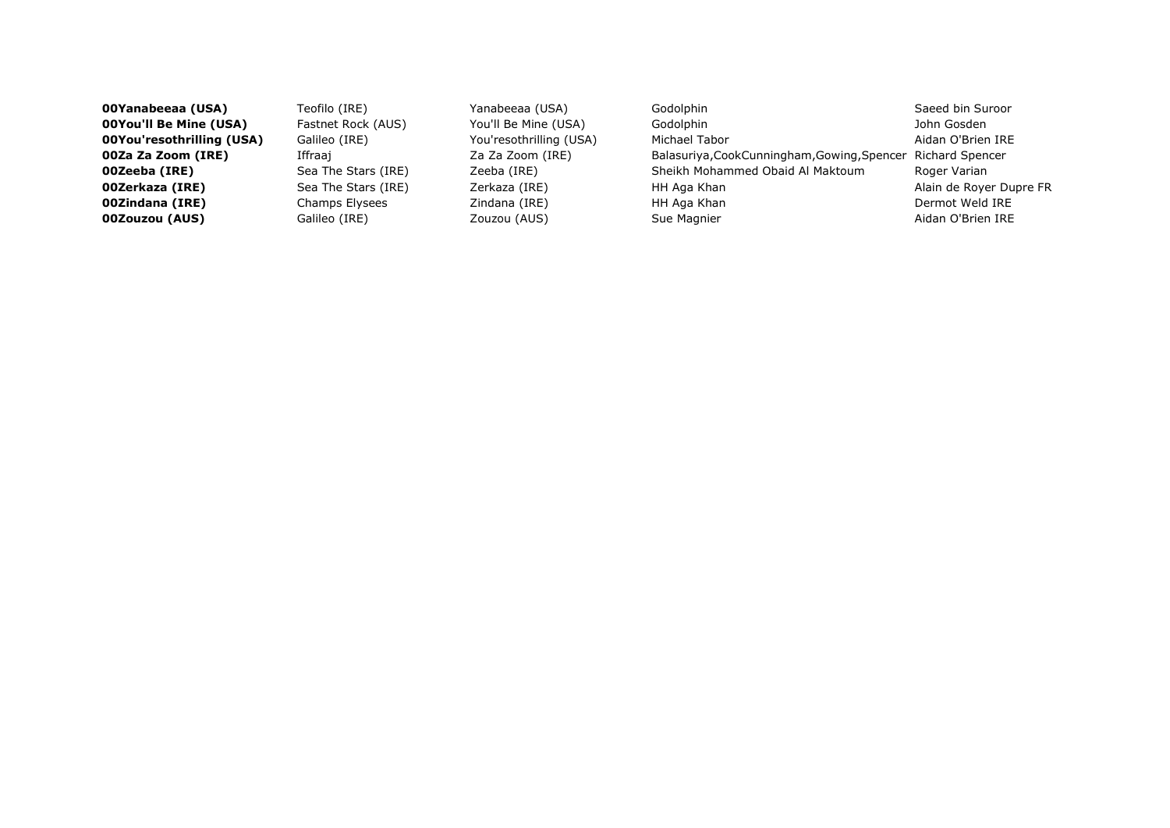**00Yanabeeaa (USA)** Teofilo (IRE) Yanabeeaa (USA) Godolphin Saeed bin Suroor **00You'll Be Mine (USA)** Fastnet Rock (AUS) You'll Be Mine (USA) Godolphin Gosden John Gosden **00You'resothrilling (USA)** Galileo (IRE) You'resothrilling (USA) Michael Tabor Aidan O'Brien IRE **00Za Za Zoom (IRE)** Iffraaj *Iffraaj* Za Za Zoom (IRE) Balasuriya,CookCunningham,Gowing,Spencer Richard Spencer **00Zeeba (IRE)** Sea The Stars (IRE) Zeeba (IRE) Sheikh Mohammed Obaid Al Maktoum Roger Varian **00Zerkaza (IRE)** Sea The Stars (IRE) Zerkaza (IRE) HH Aga Khan Alain de Royer Dupre FR **00Zindana (IRE)** Champs Elysees Zindana (IRE) HH Aga Khan Dermot Weld IRE **00Zouzou (AUS)** Galileo (IRE) **Cancel Accouval Accouval Accouval Aidan O'Brien IRE Couzou (AUS)** Sue Magnier Aidan O'Brien IRE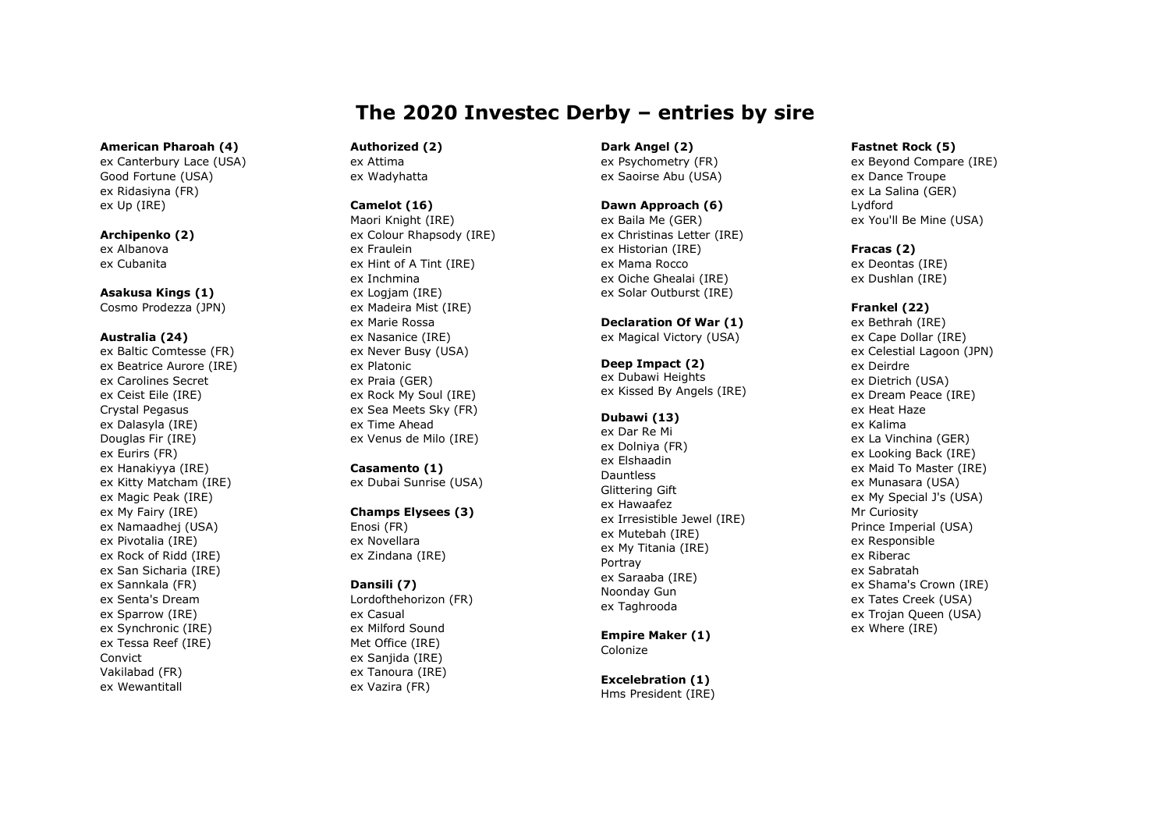# The 2020 Investec Derby – entries by sire

#### American Pharoah (4)

ex Canterbury Lace (USA) Good Fortune (USA) ex Ridasiyna (FR) ex Up (IRE)

## Archipenko (2) ex Albanova ex Cubanita

Asakusa Kings (1)

Cosmo Prodezza (JPN)

#### Australia (24)

ex Baltic Comtesse (FR) ex Beatrice Aurore (IRE) ex Carolines Secret ex Ceist Eile (IRE) Crystal Pegasus ex Dalasyla (IRE) Douglas Fir (IRE) ex Eurirs (FR) ex Hanakiyya (IRE) ex Kitty Matcham (IRE) ex Magic Peak (IRE) ex My Fairy (IRE) ex Namaadhej (USA) ex Pivotalia (IRE) ex Rock of Ridd (IRE) ex San Sicharia (IRE) ex Sannkala (FR) ex Senta's Dream ex Sparrow (IRE) ex Synchronic (IRE) ex Tessa Reef (IRE) Convict Vakilabad (FR) ex Wewantitall

#### Authorized (2) ex Attima

ex Wadyhatta

# Camelot (16)

Maori Knight (IRE) ex Colour Rhapsody (IRE) ex Fraulein ex Hint of A Tint (IRE) ex Inchmina ex Logjam (IRE) ex Madeira Mist (IRE) ex Marie Rossa ex Nasanice (IRE) ex Never Busy (USA) ex Platonic ex Praia (GER) ex Rock My Soul (IRE) ex Sea Meets Sky (FR) ex Time Ahead ex Venus de Milo (IRE)

# Casamento (1)

ex Dubai Sunrise (USA)

# Champs Elysees (3)

Enosi (FR) ex Novellara ex Zindana (IRE)

# Dansili (7)

Lordofthehorizon (FR) ex Casual ex Milford Sound Met Office (IRE) ex Sanjida (IRE) ex Tanoura (IRE) ex Vazira (FR)

#### Dark Angel (2) ex Psychometry (FR)

ex Saoirse Abu (USA)

# Dawn Approach (6)

ex Baila Me (GER) ex Christinas Letter (IRE) ex Historian (IRE) ex Mama Rocco ex Oiche Ghealai (IRE) ex Solar Outburst (IRE)

#### Declaration Of War (1) ex Magical Victory (USA)

Deep Impact (2) ex Dubawi Heights ex Kissed By Angels (IRE)

# Dubawi (13)

ex Dar Re Mi ex Dolniya (FR) ex Elshaadin Dauntless Glittering Gift ex Hawaafez ex Irresistible Jewel (IRE) ex Mutebah (IRE) ex My Titania (IRE) Portray ex Saraaba (IRE) Noonday Gun ex Taghrooda

#### Empire Maker (1) Colonize

Excelebration (1) Hms President (IRE)

## Fastnet Rock (5)

ex Beyond Compare (IRE) ex Dance Troupe ex La Salina (GER) Lydford ex You'll Be Mine (USA)

# Fracas (2)

ex Deontas (IRE) ex Dushlan (IRE)

# Frankel (22)

ex Bethrah (IRE) ex Cape Dollar (IRE) ex Celestial Lagoon (JPN) ex Deirdre ex Dietrich (USA) ex Dream Peace (IRE) ex Heat Haze ex Kalima ex La Vinchina (GER) ex Looking Back (IRE) ex Maid To Master (IRE) ex Munasara (USA) ex My Special J's (USA) Mr Curiosity Prince Imperial (USA) ex Responsible ex Riberac ex Sabratah ex Shama's Crown (IRE) ex Tates Creek (USA) ex Trojan Queen (USA) ex Where (IRE)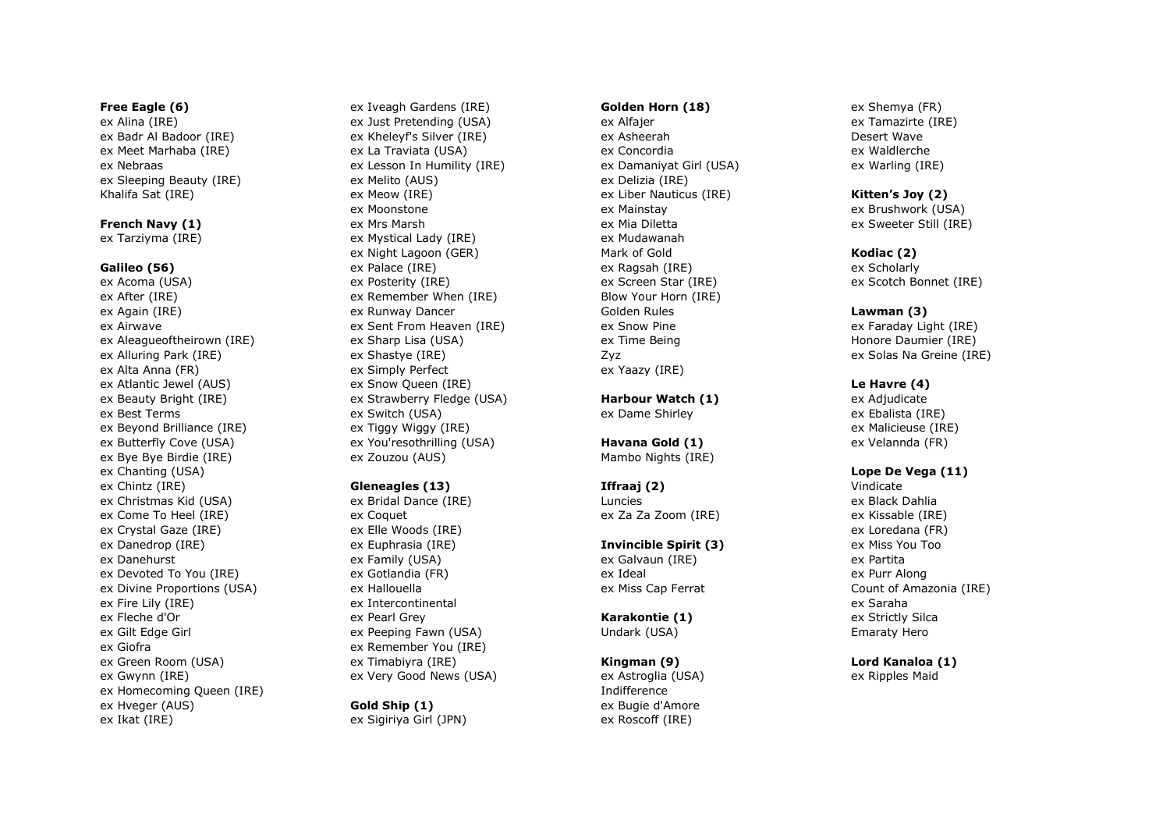#### Free Eagle (6)

ex Alina (IRE) ex Badr Al Badoor (IRE) ex Meet Marhaba (IRE) ex Nebraas ex Sleeping Beauty (IRE) Khalifa Sat (IRE)

French Navy (1)

ex Tarziyma (IRE)

#### Galileo (56)

ex Acoma (USA) ex After (IRE) ex Again (IRE) ex Airwave ex Aleagueoftheirown (IRE) ex Alluring Park (IRE) ex Alta Anna (FR) ex Atlantic Jewel (AUS) ex Beauty Bright (IRE) ex Best Terms ex Beyond Brilliance (IRE) ex Butterfly Cove (USA) ex Bye Bye Birdie (IRE) ex Chanting (USA) ex Chintz (IRE) ex Christmas Kid (USA) ex Come To Heel (IRE) ex Crystal Gaze (IRE) ex Danedrop (IRE) ex Danehurst ex Devoted To You (IRE) ex Divine Proportions (USA) ex Fire Lily (IRE) ex Fleche d'Or ex Gilt Edge Girl ex Giofra ex Green Room (USA) ex Gwynn (IRE) ex Homecoming Queen (IRE) ex Hveger (AUS) ex Ikat (IRE)

ex Iveagh Gardens (IRE) ex Just Pretending (USA) ex Kheleyf's Silver (IRE) ex La Traviata (USA) ex Lesson In Humility (IRE) ex Melito (AUS) ex Meow (IRE) ex Moonstone ex Mrs Marsh ex Mystical Lady (IRE) ex Night Lagoon (GER) ex Palace (IRE) ex Posterity (IRE) ex Remember When (IRE) ex Runway Dancer ex Sent From Heaven (IRE) ex Sharp Lisa (USA) ex Shastye (IRE) ex Simply Perfect ex Snow Queen (IRE) ex Strawberry Fledge (USA) ex Switch (USA) ex Tiggy Wiggy (IRE) ex You'resothrilling (USA) ex Zouzou (AUS)

#### Gleneagles (13)

ex Bridal Dance (IRE) ex Coquet ex Elle Woods (IRE) ex Euphrasia (IRE) ex Family (USA) ex Gotlandia (FR) ex Hallouella ex Intercontinental ex Pearl Grey ex Peeping Fawn (USA) ex Remember You (IRE) ex Timabiyra (IRE) ex Very Good News (USA)

Gold Ship (1) ex Sigiriya Girl (JPN)

#### Golden Horn (18)

ex Alfajer ex Asheerah ex Concordia ex Damaniyat Girl (USA) ex Delizia (IRE) ex Liber Nauticus (IRE) ex Mainstay ex Mia Diletta ex Mudawanah Mark of Gold ex Ragsah (IRE) ex Screen Star (IRE) Blow Your Horn (IRE) Golden Rules ex Snow Pine ex Time Being Zyz ex Yaazy (IRE)

Harbour Watch (1) ex Dame Shirley

Havana Gold (1) Mambo Nights (IRE)

Iffraaj (2) Luncies ex Za Za Zoom (IRE)

Invincible Spirit (3) ex Galvaun (IRE) ex Ideal ex Miss Cap Ferrat

Karakontie (1) Undark (USA)

Kingman (9) ex Astroglia (USA) Indifference ex Bugie d'Amore ex Roscoff (IRE)

ex Shemya (FR) ex Tamazirte (IRE) Desert Wave ex Waldlerche ex Warling (IRE)

#### Kitten's Joy (2)

ex Brushwork (USA) ex Sweeter Still (IRE)

#### Kodiac (2)

ex Scholarly ex Scotch Bonnet (IRE)

#### Lawman (3)

ex Faraday Light (IRE) Honore Daumier (IRE) ex Solas Na Greine (IRE)

#### Le Havre (4)

ex Adjudicate ex Ebalista (IRE) ex Malicieuse (IRE) ex Velannda (FR)

# Lope De Vega (11)

Vindicate ex Black Dahlia ex Kissable (IRE) ex Loredana (FR) ex Miss You Too ex Partita ex Purr Along Count of Amazonia (IRE) ex Saraha ex Strictly Silca Emaraty Hero

Lord Kanaloa (1) ex Ripples Maid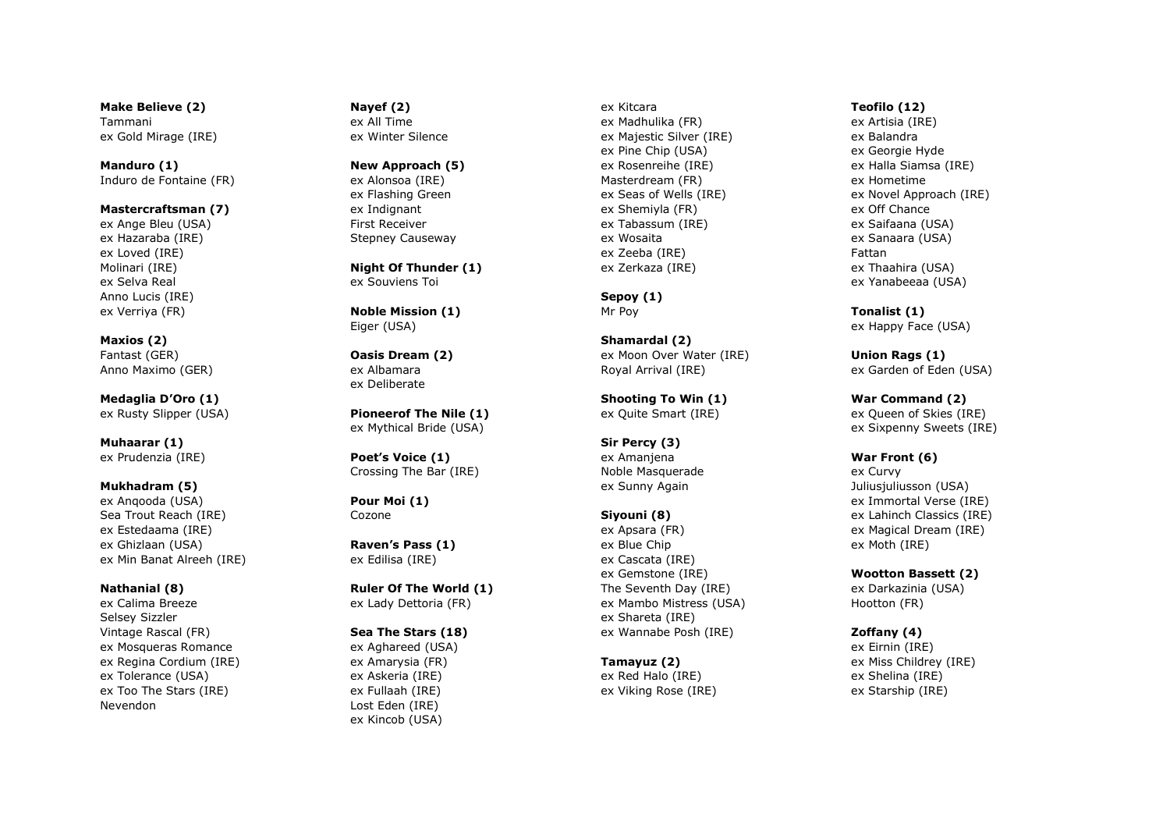Make Believe (2) Tammani ex Gold Mirage (IRE)

Manduro (1) Induro de Fontaine (FR)

Mastercraftsman (7) ex Ange Bleu (USA) ex Hazaraba (IRE) ex Loved (IRE) Molinari (IRE) ex Selva Real Anno Lucis (IRE) ex Verriya (FR)

Maxios (2) Fantast (GER) Anno Maximo (GER)

Medaglia D'Oro (1) ex Rusty Slipper (USA)

Muhaarar (1) ex Prudenzia (IRE)

Mukhadram (5) ex Anqooda (USA) Sea Trout Reach (IRE) ex Estedaama (IRE) ex Ghizlaan (USA) ex Min Banat Alreeh (IRE)

Nathanial (8) ex Calima Breeze Selsey Sizzler Vintage Rascal (FR) ex Mosqueras Romance ex Regina Cordium (IRE) ex Tolerance (USA) ex Too The Stars (IRE) Nevendon

Nayef (2) ex All Time

ex Winter Silence

New Approach (5)

ex Alonsoa (IRE) ex Flashing Green ex Indignant First Receiver Stepney Causeway

Night Of Thunder (1) ex Souviens Toi

Noble Mission (1) Eiger (USA)

Oasis Dream (2) ex Albamara ex Deliberate

Pioneerof The Nile (1) ex Mythical Bride (USA)

Poet's Voice (1) Crossing The Bar (IRE)

Pour Moi (1) Cozone

Raven's Pass (1) ex Edilisa (IRE)

Ruler Of The World (1) ex Lady Dettoria (FR)

# Sea The Stars (18)

ex Aghareed (USA) ex Amarysia (FR) ex Askeria (IRE) ex Fullaah (IRE) Lost Eden (IRE) ex Kincob (USA)

ex Kitcara ex Madhulika (FR) ex Majestic Silver (IRE) ex Pine Chip (USA) ex Rosenreihe (IRE) Masterdream (FR) ex Seas of Wells (IRE) ex Shemiyla (FR) ex Tabassum (IRE) ex Wosaita ex Zeeba (IRE) ex Zerkaza (IRE)

Sepoy (1) Mr Poy

Shamardal (2) ex Moon Over Water (IRE) Royal Arrival (IRE)

Shooting To Win (1) ex Quite Smart (IRE)

Sir Percy (3) ex Amanjena Noble Masquerade ex Sunny Again

### Siyouni (8)

ex Apsara (FR) ex Blue Chip ex Cascata (IRE) ex Gemstone (IRE) The Seventh Day (IRE) ex Mambo Mistress (USA) ex Shareta (IRE) ex Wannabe Posh (IRE)

Tamayuz (2) ex Red Halo (IRE)

ex Viking Rose (IRE)

### Teofilo (12)

ex Artisia (IRE) ex Balandra ex Georgie Hyde ex Halla Siamsa (IRE) ex Hometime ex Novel Approach (IRE) ex Off Chance ex Saifaana (USA) ex Sanaara (USA) Fattan ex Thaahira (USA) ex Yanabeeaa (USA)

Tonalist (1) ex Happy Face (USA)

Union Rags (1) ex Garden of Eden (USA)

War Command (2) ex Queen of Skies (IRE) ex Sixpenny Sweets (IRE)

War Front (6)

ex Curvy Juliusjuliusson (USA) ex Immortal Verse (IRE) ex Lahinch Classics (IRE) ex Magical Dream (IRE) ex Moth (IRE)

Wootton Bassett (2)

ex Darkazinia (USA) Hootton (FR)

Zoffany (4)

ex Eirnin (IRE) ex Miss Childrey (IRE) ex Shelina (IRE) ex Starship (IRE)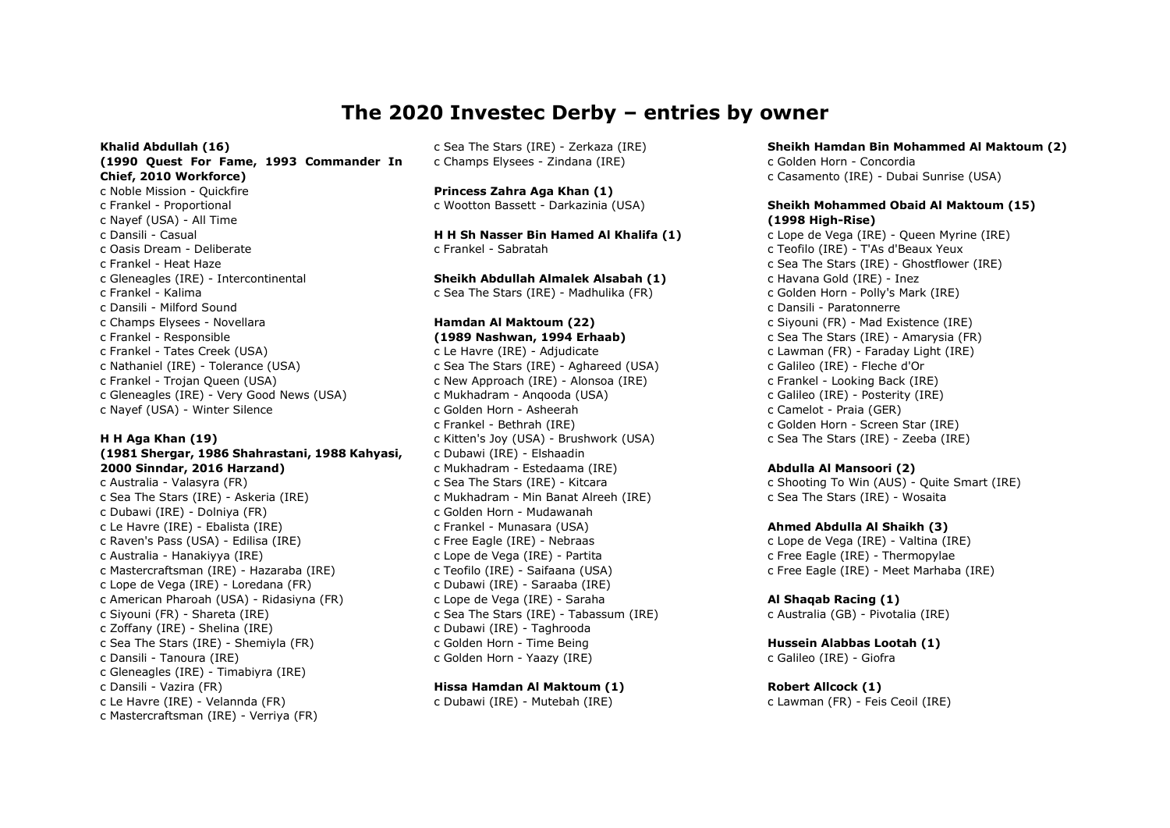# The 2020 Investec Derby – entries by owner

Khalid Abdullah (16) (1990 Quest For Fame, 1993 Commander In Chief, 2010 Workforce) c Noble Mission - Quickfire c Frankel - Proportional c Nayef (USA) - All Time c Dansili - Casual c Oasis Dream - Deliberate c Frankel - Heat Haze c Gleneagles (IRE) - Intercontinental c Frankel - Kalima c Dansili - Milford Sound c Champs Elysees - Novellara c Frankel - Responsible c Frankel - Tates Creek (USA) c Nathaniel (IRE) - Tolerance (USA) c Frankel - Trojan Queen (USA) c Gleneagles (IRE) - Very Good News (USA) c Nayef (USA) - Winter Silence

#### H H Aga Khan (19)

#### (1981 Shergar, 1986 Shahrastani, 1988 Kahyasi, 2000 Sinndar, 2016 Harzand)

c Australia - Valasyra (FR) c Sea The Stars (IRE) - Askeria (IRE) c Dubawi (IRE) - Dolniya (FR) c Le Havre (IRE) - Ebalista (IRE) c Raven's Pass (USA) - Edilisa (IRE) c Australia - Hanakiyya (IRE) c Mastercraftsman (IRE) - Hazaraba (IRE) c Lope de Vega (IRE) - Loredana (FR) c American Pharoah (USA) - Ridasiyna (FR) c Siyouni (FR) - Shareta (IRE) c Zoffany (IRE) - Shelina (IRE) c Sea The Stars (IRE) - Shemiyla (FR) c Dansili - Tanoura (IRE) c Gleneagles (IRE) - Timabiyra (IRE) c Dansili - Vazira (FR) c Le Havre (IRE) - Velannda (FR) c Mastercraftsman (IRE) - Verriya (FR)

c Sea The Stars (IRE) - Zerkaza (IRE) c Champs Elysees - Zindana (IRE)

Princess Zahra Aga Khan (1) c Wootton Bassett - Darkazinia (USA)

H H Sh Nasser Bin Hamed Al Khalifa (1) c Frankel - Sabratah

Sheikh Abdullah Almalek Alsabah (1) c Sea The Stars (IRE) - Madhulika (FR)

#### Hamdan Al Maktoum (22) (1989 Nashwan, 1994 Erhaab)

c Le Havre (IRE) - Adjudicate c Sea The Stars (IRE) - Aghareed (USA) c New Approach (IRE) - Alonsoa (IRE) c Mukhadram - Anqooda (USA) c Golden Horn - Asheerah c Frankel - Bethrah (IRE) c Kitten's Joy (USA) - Brushwork (USA) c Dubawi (IRE) - Elshaadin c Mukhadram - Estedaama (IRE) c Sea The Stars (IRE) - Kitcara c Mukhadram - Min Banat Alreeh (IRE) c Golden Horn - Mudawanah c Frankel - Munasara (USA) c Free Eagle (IRE) - Nebraas c Lope de Vega (IRE) - Partita c Teofilo (IRE) - Saifaana (USA) c Dubawi (IRE) - Saraaba (IRE) c Lope de Vega (IRE) - Saraha c Sea The Stars (IRE) - Tabassum (IRE) c Dubawi (IRE) - Taghrooda c Golden Horn - Time Being c Golden Horn - Yaazy (IRE)

#### Hissa Hamdan Al Maktoum (1)

c Dubawi (IRE) - Mutebah (IRE)

Sheikh Hamdan Bin Mohammed Al Maktoum (2) c Golden Horn - Concordia c Casamento (IRE) - Dubai Sunrise (USA)

Sheikh Mohammed Obaid Al Maktoum (15) (1998 High-Rise) c Lope de Vega (IRE) - Queen Myrine (IRE) c Teofilo (IRE) - T'As d'Beaux Yeux c Sea The Stars (IRE) - Ghostflower (IRE) c Havana Gold (IRE) - Inez c Golden Horn - Polly's Mark (IRE) c Dansili - Paratonnerre c Siyouni (FR) - Mad Existence (IRE) c Sea The Stars (IRE) - Amarysia (FR) c Lawman (FR) - Faraday Light (IRE) c Galileo (IRE) - Fleche d'Or c Frankel - Looking Back (IRE) c Galileo (IRE) - Posterity (IRE) c Camelot - Praia (GER) c Golden Horn - Screen Star (IRE) c Sea The Stars (IRE) - Zeeba (IRE)

#### Abdulla Al Mansoori (2)

c Shooting To Win (AUS) - Quite Smart (IRE) c Sea The Stars (IRE) - Wosaita

#### Ahmed Abdulla Al Shaikh (3)

c Lope de Vega (IRE) - Valtina (IRE) c Free Eagle (IRE) - Thermopylae c Free Eagle (IRE) - Meet Marhaba (IRE)

### Al Shaqab Racing (1)

c Australia (GB) - Pivotalia (IRE)

Hussein Alabbas Lootah (1) c Galileo (IRE) - Giofra

Robert Allcock (1) c Lawman (FR) - Feis Ceoil (IRE)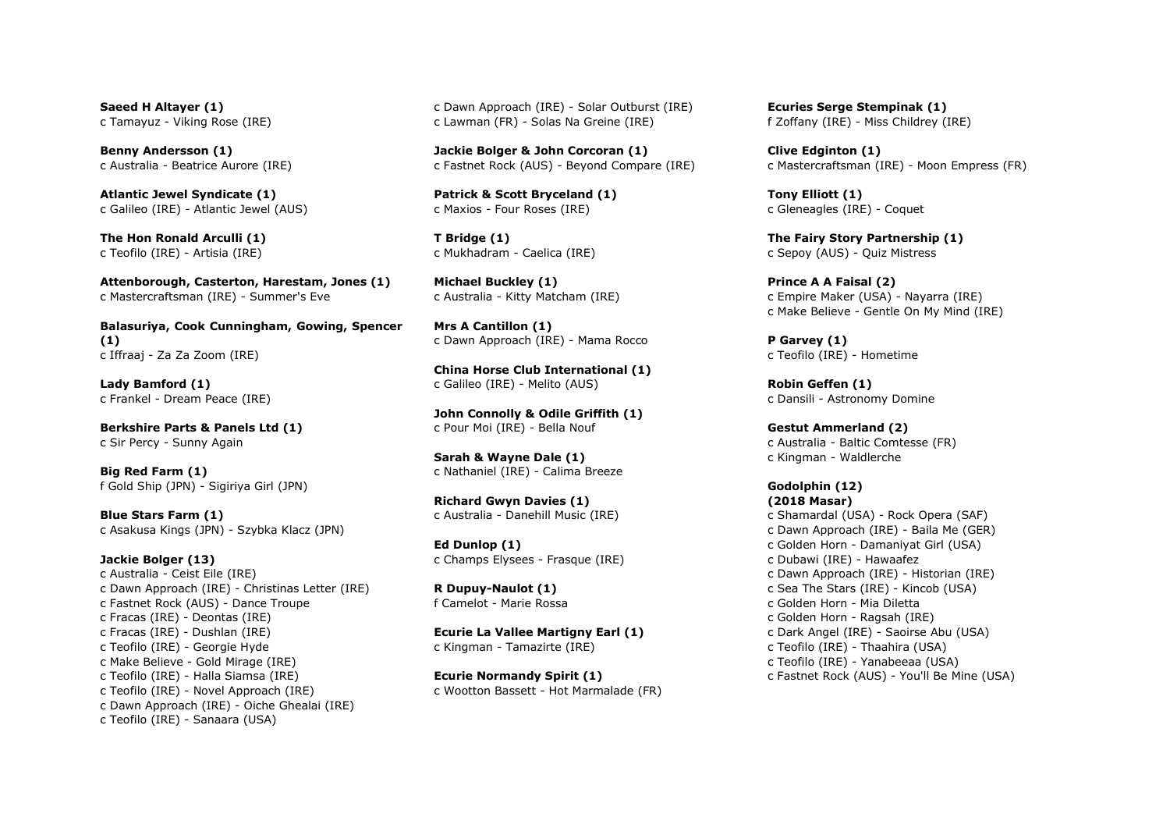Saeed H Altayer (1) c Tamayuz - Viking Rose (IRE)

Benny Andersson (1) c Australia - Beatrice Aurore (IRE)

Atlantic Jewel Syndicate (1) c Galileo (IRE) - Atlantic Jewel (AUS)

The Hon Ronald Arculli (1) c Teofilo (IRE) - Artisia (IRE)

Attenborough, Casterton, Harestam, Jones (1) c Mastercraftsman (IRE) - Summer's Eve

Balasuriya, Cook Cunningham, Gowing, Spencer (1) c Iffraaj - Za Za Zoom (IRE)

Lady Bamford (1) c Frankel - Dream Peace (IRE)

Berkshire Parts & Panels Ltd (1) c Sir Percy - Sunny Again

Big Red Farm (1) f Gold Ship (JPN) - Sigiriya Girl (JPN)

Blue Stars Farm (1) c Asakusa Kings (JPN) - Szybka Klacz (JPN)

Jackie Bolger (13) c Australia - Ceist Eile (IRE) c Dawn Approach (IRE) - Christinas Letter (IRE) c Fastnet Rock (AUS) - Dance Troupe c Fracas (IRE) - Deontas (IRE) c Fracas (IRE) - Dushlan (IRE) c Teofilo (IRE) - Georgie Hyde c Make Believe - Gold Mirage (IRE) c Teofilo (IRE) - Halla Siamsa (IRE) c Teofilo (IRE) - Novel Approach (IRE) c Dawn Approach (IRE) - Oiche Ghealai (IRE) c Teofilo (IRE) - Sanaara (USA)

c Dawn Approach (IRE) - Solar Outburst (IRE) c Lawman (FR) - Solas Na Greine (IRE)

Jackie Bolger & John Corcoran (1) c Fastnet Rock (AUS) - Beyond Compare (IRE)

Patrick & Scott Bryceland (1) c Maxios - Four Roses (IRE)

T Bridge (1) c Mukhadram - Caelica (IRE)

Michael Buckley (1) c Australia - Kitty Matcham (IRE)

Mrs A Cantillon (1) c Dawn Approach (IRE) - Mama Rocco

China Horse Club International (1) c Galileo (IRE) - Melito (AUS)

John Connolly & Odile Griffith (1) c Pour Moi (IRE) - Bella Nouf

Sarah & Wayne Dale (1) c Nathaniel (IRE) - Calima Breeze

Richard Gwyn Davies (1) c Australia - Danehill Music (IRE)

Ed Dunlop (1) c Champs Elysees - Frasque (IRE)

R Dupuy-Naulot (1) f Camelot - Marie Rossa

Ecurie La Vallee Martigny Earl (1) c Kingman - Tamazirte (IRE)

Ecurie Normandy Spirit (1) c Wootton Bassett - Hot Marmalade (FR)

Ecuries Serge Stempinak (1) f Zoffany (IRE) - Miss Childrey (IRE)

Clive Edginton (1) c Mastercraftsman (IRE) - Moon Empress (FR)

Tony Elliott (1) c Gleneagles (IRE) - Coquet

The Fairy Story Partnership (1) c Sepoy (AUS) - Quiz Mistress

Prince A A Faisal (2) c Empire Maker (USA) - Nayarra (IRE) c Make Believe - Gentle On My Mind (IRE)

P Garvey (1) c Teofilo (IRE) - Hometime

Robin Geffen (1) c Dansili - Astronomy Domine

Gestut Ammerland (2) c Australia - Baltic Comtesse (FR) c Kingman - Waldlerche

Godolphin (12) (2018 Masar) c Shamardal (USA) - Rock Opera (SAF) c Dawn Approach (IRE) - Baila Me (GER) c Golden Horn - Damaniyat Girl (USA) c Dubawi (IRE) - Hawaafez c Dawn Approach (IRE) - Historian (IRE) c Sea The Stars (IRE) - Kincob (USA) c Golden Horn - Mia Diletta

c Golden Horn - Ragsah (IRE) c Dark Angel (IRE) - Saoirse Abu (USA) c Teofilo (IRE) - Thaahira (USA) c Teofilo (IRE) - Yanabeeaa (USA) c Fastnet Rock (AUS) - You'll Be Mine (USA)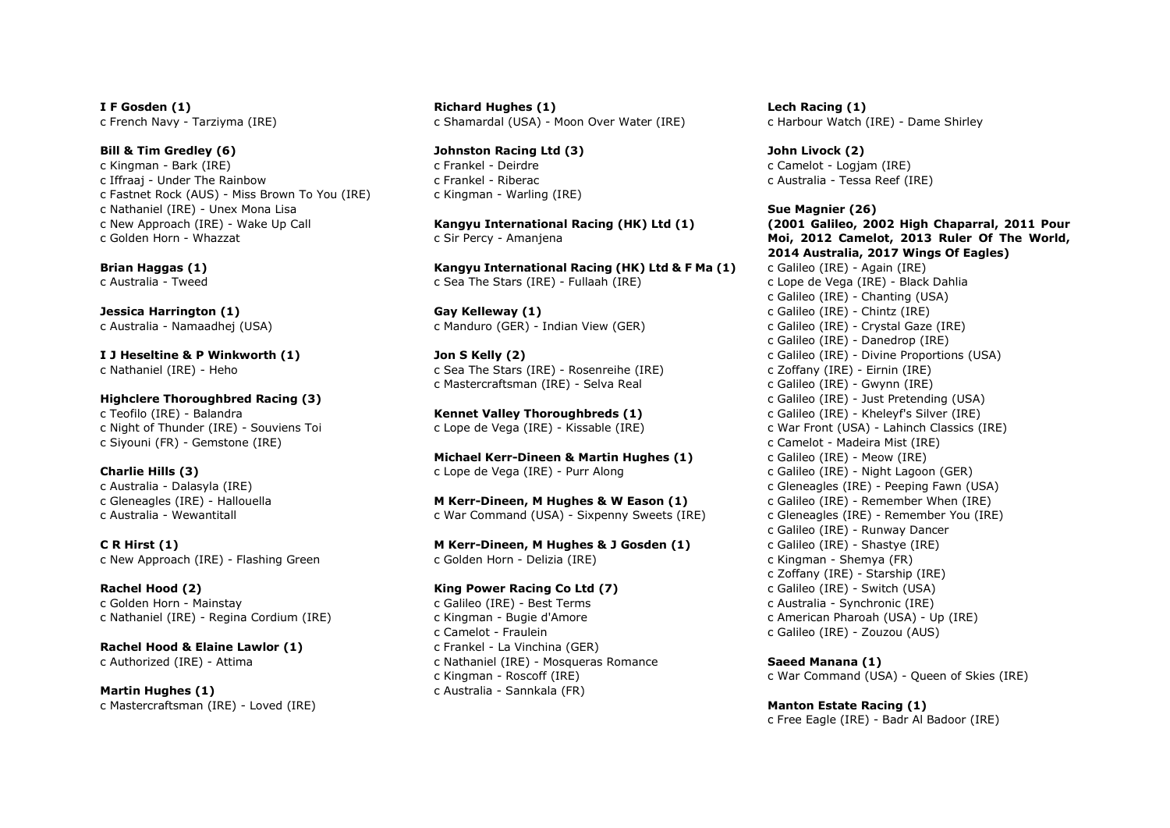I F Gosden (1) c French Navy - Tarziyma (IRE)

Bill & Tim Gredley (6) c Kingman - Bark (IRE) c Iffraaj - Under The Rainbow c Fastnet Rock (AUS) - Miss Brown To You (IRE) c Nathaniel (IRE) - Unex Mona Lisa c New Approach (IRE) - Wake Up Call c Golden Horn - Whazzat

Brian Haggas (1) c Australia - Tweed

Jessica Harrington (1) c Australia - Namaadhej (USA)

I J Heseltine & P Winkworth (1) c Nathaniel (IRE) - Heho

Highclere Thoroughbred Racing (3) c Teofilo (IRE) - Balandra c Night of Thunder (IRE) - Souviens Toi c Siyouni (FR) - Gemstone (IRE)

Charlie Hills (3) c Australia - Dalasyla (IRE) c Gleneagles (IRE) - Hallouella c Australia - Wewantitall

C R Hirst (1) c New Approach (IRE) - Flashing Green

Rachel Hood (2) c Golden Horn - Mainstay c Nathaniel (IRE) - Regina Cordium (IRE)

Rachel Hood & Elaine Lawlor (1) c Authorized (IRE) - Attima

Martin Hughes (1) c Mastercraftsman (IRE) - Loved (IRE) Richard Hughes (1) c Shamardal (USA) - Moon Over Water (IRE)

Johnston Racing Ltd (3) c Frankel - Deirdre c Frankel - Riberac c Kingman - Warling (IRE)

Kangyu International Racing (HK) Ltd (1) c Sir Percy - Amanjena

Kangyu International Racing (HK) Ltd & F Ma (1) c Sea The Stars (IRE) - Fullaah (IRE)

Gay Kelleway (1) c Manduro (GER) - Indian View (GER)

Jon S Kelly (2) c Sea The Stars (IRE) - Rosenreihe (IRE) c Mastercraftsman (IRE) - Selva Real

Kennet Valley Thoroughbreds (1) c Lope de Vega (IRE) - Kissable (IRE)

Michael Kerr-Dineen & Martin Hughes (1) c Lope de Vega (IRE) - Purr Along

M Kerr-Dineen, M Hughes & W Eason (1) c War Command (USA) - Sixpenny Sweets (IRE)

M Kerr-Dineen, M Hughes & J Gosden (1) c Golden Horn - Delizia (IRE)

King Power Racing Co Ltd (7) c Galileo (IRE) - Best Terms c Kingman - Bugie d'Amore c Camelot - Fraulein c Frankel - La Vinchina (GER) c Nathaniel (IRE) - Mosqueras Romance c Kingman - Roscoff (IRE) c Australia - Sannkala (FR)

Lech Racing (1) c Harbour Watch (IRE) - Dame Shirley

John Livock (2) c Camelot - Logjam (IRE) c Australia - Tessa Reef (IRE)

Sue Magnier (26) (2001 Galileo, 2002 High Chaparral, 2011 Pour Moi, 2012 Camelot, 2013 Ruler Of The World, 2014 Australia, 2017 Wings Of Eagles) c Galileo (IRE) - Again (IRE) c Lope de Vega (IRE) - Black Dahlia c Galileo (IRE) - Chanting (USA) c Galileo (IRE) - Chintz (IRE) c Galileo (IRE) - Crystal Gaze (IRE) c Galileo (IRE) - Danedrop (IRE) c Galileo (IRE) - Divine Proportions (USA) c Zoffany (IRE) - Eirnin (IRE) c Galileo (IRE) - Gwynn (IRE) c Galileo (IRE) - Just Pretending (USA) c Galileo (IRE) - Kheleyf's Silver (IRE) c War Front (USA) - Lahinch Classics (IRE) c Camelot - Madeira Mist (IRE) c Galileo (IRE) - Meow (IRE) c Galileo (IRE) - Night Lagoon (GER) c Gleneagles (IRE) - Peeping Fawn (USA) c Galileo (IRE) - Remember When (IRE) c Gleneagles (IRE) - Remember You (IRE) c Galileo (IRE) - Runway Dancer c Galileo (IRE) - Shastye (IRE) c Kingman - Shemya (FR) c Zoffany (IRE) - Starship (IRE) c Galileo (IRE) - Switch (USA) c Australia - Synchronic (IRE) c American Pharoah (USA) - Up (IRE) c Galileo (IRE) - Zouzou (AUS)

Saeed Manana (1) c War Command (USA) - Queen of Skies (IRE)

Manton Estate Racing (1) c Free Eagle (IRE) - Badr Al Badoor (IRE)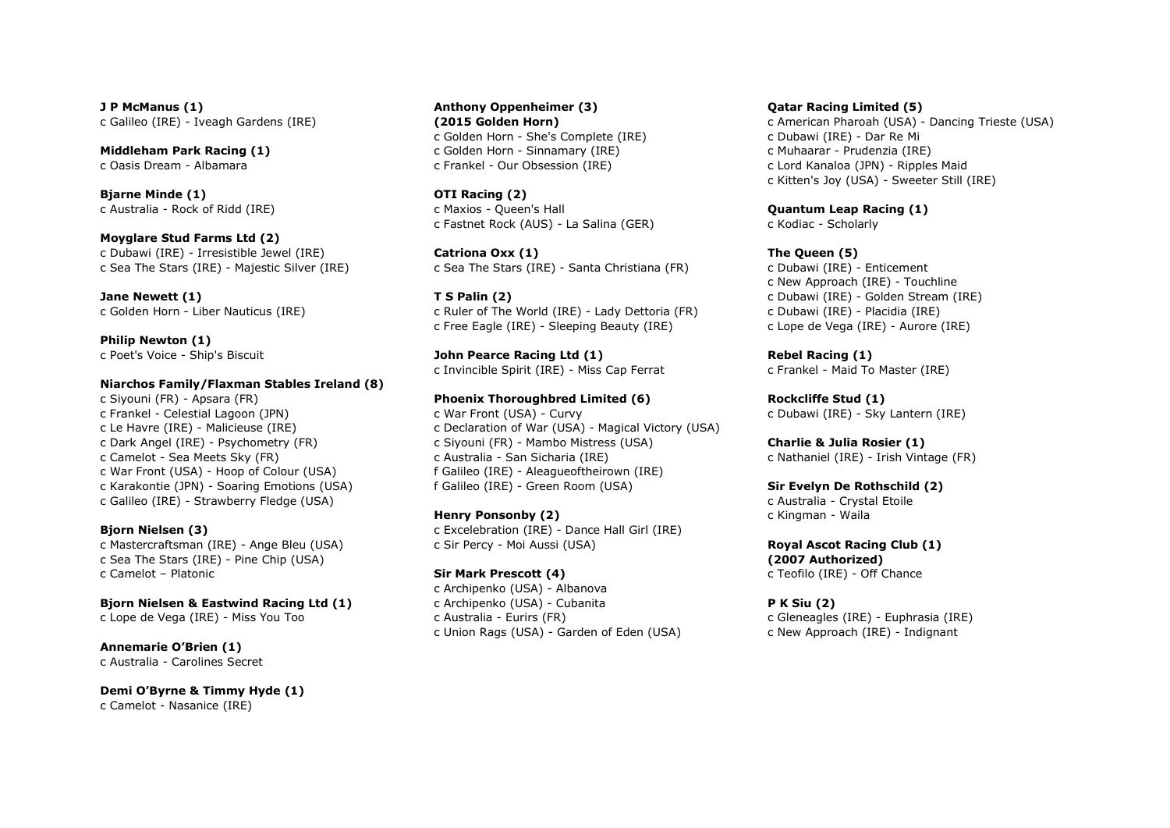J P McManus (1) c Galileo (IRE) - Iveagh Gardens (IRE)

Middleham Park Racing (1) c Oasis Dream - Albamara

Bjarne Minde (1) c Australia - Rock of Ridd (IRE)

Moyglare Stud Farms Ltd (2) c Dubawi (IRE) - Irresistible Jewel (IRE) c Sea The Stars (IRE) - Majestic Silver (IRE)

Jane Newett (1) c Golden Horn - Liber Nauticus (IRE)

Philip Newton (1) c Poet's Voice - Ship's Biscuit

#### Niarchos Family/Flaxman Stables Ireland (8)

c Siyouni (FR) - Apsara (FR) c Frankel - Celestial Lagoon (JPN) c Le Havre (IRE) - Malicieuse (IRE) c Dark Angel (IRE) - Psychometry (FR) c Camelot - Sea Meets Sky (FR) c War Front (USA) - Hoop of Colour (USA) c Karakontie (JPN) - Soaring Emotions (USA) c Galileo (IRE) - Strawberry Fledge (USA)

#### Bjorn Nielsen (3)

c Mastercraftsman (IRE) - Ange Bleu (USA) c Sea The Stars (IRE) - Pine Chip (USA) c Camelot – Platonic

Bjorn Nielsen & Eastwind Racing Ltd (1)

c Lope de Vega (IRE) - Miss You Too

Annemarie O'Brien (1) c Australia - Carolines Secret

Demi O'Byrne & Timmy Hyde (1) c Camelot - Nasanice (IRE)

Anthony Oppenheimer (3) (2015 Golden Horn) c Golden Horn - She's Complete (IRE) c Golden Horn - Sinnamary (IRE) c Frankel - Our Obsession (IRE)

OTI Racing (2) c Maxios - Queen's Hall c Fastnet Rock (AUS) - La Salina (GER)

Catriona Oxx (1) c Sea The Stars (IRE) - Santa Christiana (FR)

T S Palin (2) c Ruler of The World (IRE) - Lady Dettoria (FR) c Free Eagle (IRE) - Sleeping Beauty (IRE)

John Pearce Racing Ltd (1) c Invincible Spirit (IRE) - Miss Cap Ferrat

#### Phoenix Thoroughbred Limited (6)

c War Front (USA) - Curvy c Declaration of War (USA) - Magical Victory (USA) c Siyouni (FR) - Mambo Mistress (USA) c Australia - San Sicharia (IRE) f Galileo (IRE) - Aleagueoftheirown (IRE) f Galileo (IRE) - Green Room (USA)

Henry Ponsonby (2) c Excelebration (IRE) - Dance Hall Girl (IRE) c Sir Percy - Moi Aussi (USA)

Sir Mark Prescott (4) c Archipenko (USA) - Albanova c Archipenko (USA) - Cubanita c Australia - Eurirs (FR) c Union Rags (USA) - Garden of Eden (USA) Qatar Racing Limited (5)

c American Pharoah (USA) - Dancing Trieste (USA) c Dubawi (IRE) - Dar Re Mi c Muhaarar - Prudenzia (IRE) c Lord Kanaloa (JPN) - Ripples Maid c Kitten's Joy (USA) - Sweeter Still (IRE)

Quantum Leap Racing (1) c Kodiac - Scholarly

#### The Queen (5)

c Dubawi (IRE) - Enticement c New Approach (IRE) - Touchline c Dubawi (IRE) - Golden Stream (IRE) c Dubawi (IRE) - Placidia (IRE) c Lope de Vega (IRE) - Aurore (IRE)

Rebel Racing (1) c Frankel - Maid To Master (IRE)

Rockcliffe Stud (1) c Dubawi (IRE) - Sky Lantern (IRE)

Charlie & Julia Rosier (1) c Nathaniel (IRE) - Irish Vintage (FR)

Sir Evelyn De Rothschild (2)

c Australia - Crystal Etoile c Kingman - Waila

Royal Ascot Racing Club (1) (2007 Authorized) c Teofilo (IRE) - Off Chance

P K Siu (2) c Gleneagles (IRE) - Euphrasia (IRE) c New Approach (IRE) - Indignant